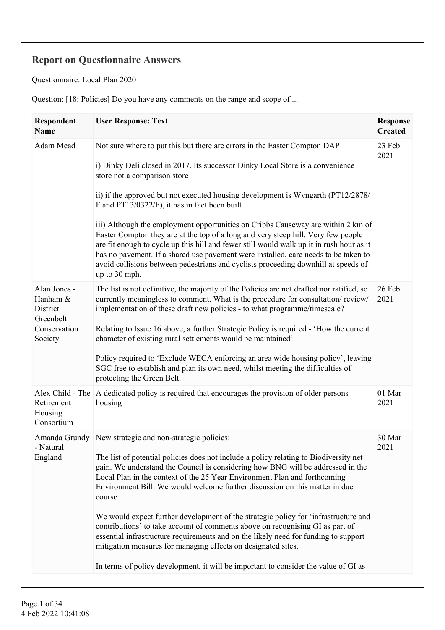## **Report on Questionnaire Answers**

Questionnaire: Local Plan 2020

Question: [18: Policies] Do you have any comments on the range and scope of ...

| Respondent<br><b>Name</b>                                                    | <b>User Response: Text</b>                                                                                                                                                                                                                                                                                                                                                                                                                                                                                                                                                                                                                                                                                                                                                                                                        | <b>Response</b><br><b>Created</b> |
|------------------------------------------------------------------------------|-----------------------------------------------------------------------------------------------------------------------------------------------------------------------------------------------------------------------------------------------------------------------------------------------------------------------------------------------------------------------------------------------------------------------------------------------------------------------------------------------------------------------------------------------------------------------------------------------------------------------------------------------------------------------------------------------------------------------------------------------------------------------------------------------------------------------------------|-----------------------------------|
| Adam Mead                                                                    | Not sure where to put this but there are errors in the Easter Compton DAP<br>i) Dinky Deli closed in 2017. Its successor Dinky Local Store is a convenience<br>store not a comparison store<br>ii) if the approved but not executed housing development is Wyngarth (PT12/2878/<br>F and PT13/0322/F), it has in fact been built<br>iii) Although the employment opportunities on Cribbs Causeway are within 2 km of<br>Easter Compton they are at the top of a long and very steep hill. Very few people<br>are fit enough to cycle up this hill and fewer still would walk up it in rush hour as it<br>has no pavement. If a shared use pavement were installed, care needs to be taken to<br>avoid collisions between pedestrians and cyclists proceeding downhill at speeds of<br>up to 30 mph.                               | 23 Feb<br>2021                    |
| Alan Jones -<br>Hanham &<br>District<br>Greenbelt<br>Conservation<br>Society | The list is not definitive, the majority of the Policies are not drafted nor ratified, so<br>currently meaningless to comment. What is the procedure for consultation/review/<br>implementation of these draft new policies - to what programme/timescale?<br>Relating to Issue 16 above, a further Strategic Policy is required - 'How the current<br>character of existing rural settlements would be maintained'.<br>Policy required to 'Exclude WECA enforcing an area wide housing policy', leaving<br>SGC free to establish and plan its own need, whilst meeting the difficulties of<br>protecting the Green Belt.                                                                                                                                                                                                         | 26 Feb<br>2021                    |
| Alex Child - The<br>Retirement<br>Housing<br>Consortium                      | A dedicated policy is required that encourages the provision of older persons<br>housing                                                                                                                                                                                                                                                                                                                                                                                                                                                                                                                                                                                                                                                                                                                                          | 01 Mar<br>2021                    |
| Natural<br>England                                                           | Amanda Grundy New strategic and non-strategic policies:<br>The list of potential policies does not include a policy relating to Biodiversity net<br>gain. We understand the Council is considering how BNG will be addressed in the<br>Local Plan in the context of the 25 Year Environment Plan and forthcoming<br>Environment Bill. We would welcome further discussion on this matter in due<br>course.<br>We would expect further development of the strategic policy for 'infrastructure and<br>contributions' to take account of comments above on recognising GI as part of<br>essential infrastructure requirements and on the likely need for funding to support<br>mitigation measures for managing effects on designated sites.<br>In terms of policy development, it will be important to consider the value of GI as | 30 Mar<br>2021                    |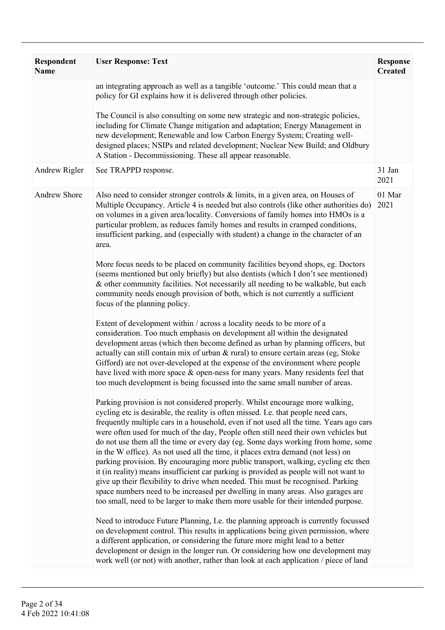| Respondent<br>Name | <b>User Response: Text</b>                                                                                                                                                                                                                                                                                                                                                                                                                                                                                                                                                                                                                                                                                                                                                                                                                                                                                                                                             | <b>Response</b><br><b>Created</b> |
|--------------------|------------------------------------------------------------------------------------------------------------------------------------------------------------------------------------------------------------------------------------------------------------------------------------------------------------------------------------------------------------------------------------------------------------------------------------------------------------------------------------------------------------------------------------------------------------------------------------------------------------------------------------------------------------------------------------------------------------------------------------------------------------------------------------------------------------------------------------------------------------------------------------------------------------------------------------------------------------------------|-----------------------------------|
|                    | an integrating approach as well as a tangible 'outcome.' This could mean that a<br>policy for GI explains how it is delivered through other policies.<br>The Council is also consulting on some new strategic and non-strategic policies,                                                                                                                                                                                                                                                                                                                                                                                                                                                                                                                                                                                                                                                                                                                              |                                   |
|                    | including for Climate Change mitigation and adaptation; Energy Management in<br>new development; Renewable and low Carbon Energy System; Creating well-<br>designed places; NSIPs and related development; Nuclear New Build; and Oldbury<br>A Station - Decommissioning. These all appear reasonable.                                                                                                                                                                                                                                                                                                                                                                                                                                                                                                                                                                                                                                                                 |                                   |
| Andrew Rigler      | See TRAPPD response.                                                                                                                                                                                                                                                                                                                                                                                                                                                                                                                                                                                                                                                                                                                                                                                                                                                                                                                                                   | 31 Jan<br>2021                    |
| Andrew Shore       | Also need to consider stronger controls $\&$ limits, in a given area, on Houses of<br>Multiple Occupancy. Article 4 is needed but also controls (like other authorities do)<br>on volumes in a given area/locality. Conversions of family homes into HMOs is a<br>particular problem, as reduces family homes and results in cramped conditions,<br>insufficient parking, and (especially with student) a change in the character of an<br>area.                                                                                                                                                                                                                                                                                                                                                                                                                                                                                                                       | 01 Mar<br>2021                    |
|                    | More focus needs to be placed on community facilities beyond shops, eg. Doctors<br>(seems mentioned but only briefly) but also dentists (which I don't see mentioned)<br>& other community facilities. Not necessarily all needing to be walkable, but each<br>community needs enough provision of both, which is not currently a sufficient<br>focus of the planning policy.                                                                                                                                                                                                                                                                                                                                                                                                                                                                                                                                                                                          |                                   |
|                    | Extent of development within / across a locality needs to be more of a<br>consideration. Too much emphasis on development all within the designated<br>development areas (which then become defined as urban by planning officers, but<br>actually can still contain mix of urban & rural) to ensure certain areas (eg, Stoke<br>Gifford) are not over-developed at the expense of the environment where people<br>have lived with more space & open-ness for many years. Many residents feel that<br>too much development is being focussed into the same small number of areas.                                                                                                                                                                                                                                                                                                                                                                                      |                                   |
|                    | Parking provision is not considered properly. Whilst encourage more walking,<br>cycling etc is desirable, the reality is often missed. I.e. that people need cars,<br>frequently multiple cars in a household, even if not used all the time. Years ago cars<br>were often used for much of the day, People often still need their own vehicles but<br>do not use them all the time or every day (eg. Some days working from home, some<br>in the W office). As not used all the time, it places extra demand (not less) on<br>parking provision. By encouraging more public transport, walking, cycling etc then<br>it (in reality) means insufficient car parking is provided as people will not want to<br>give up their flexibility to drive when needed. This must be recognised. Parking<br>space numbers need to be increased per dwelling in many areas. Also garages are<br>too small, need to be larger to make them more usable for their intended purpose. |                                   |
|                    | Need to introduce Future Planning, I.e. the planning approach is currently focussed<br>on development control. This results in applications being given permission, where<br>a different application, or considering the future more might lead to a better<br>development or design in the longer run. Or considering how one development may<br>work well (or not) with another, rather than look at each application / piece of land                                                                                                                                                                                                                                                                                                                                                                                                                                                                                                                                |                                   |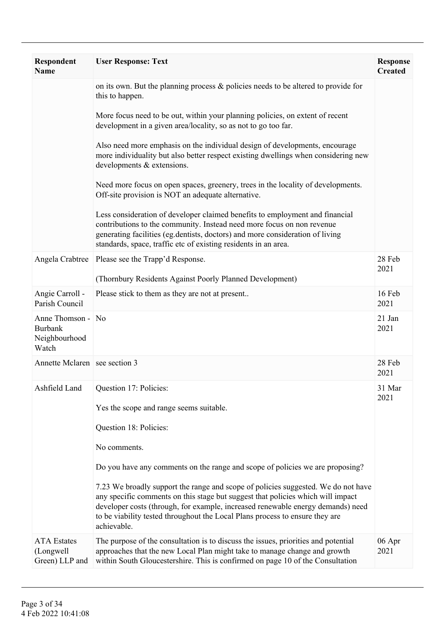| <b>Respondent</b><br><b>Name</b>                              | <b>User Response: Text</b>                                                                                                                                                                                                                                                                                                                             | <b>Response</b><br><b>Created</b> |
|---------------------------------------------------------------|--------------------------------------------------------------------------------------------------------------------------------------------------------------------------------------------------------------------------------------------------------------------------------------------------------------------------------------------------------|-----------------------------------|
|                                                               | on its own. But the planning process $\&$ policies needs to be altered to provide for<br>this to happen.                                                                                                                                                                                                                                               |                                   |
|                                                               | More focus need to be out, within your planning policies, on extent of recent<br>development in a given area/locality, so as not to go too far.                                                                                                                                                                                                        |                                   |
|                                                               | Also need more emphasis on the individual design of developments, encourage<br>more individuality but also better respect existing dwellings when considering new<br>developments & extensions.                                                                                                                                                        |                                   |
|                                                               | Need more focus on open spaces, greenery, trees in the locality of developments.<br>Off-site provision is NOT an adequate alternative.                                                                                                                                                                                                                 |                                   |
|                                                               | Less consideration of developer claimed benefits to employment and financial<br>contributions to the community. Instead need more focus on non revenue<br>generating facilities (eg.dentists, doctors) and more consideration of living<br>standards, space, traffic etc of existing residents in an area.                                             |                                   |
| Angela Crabtree                                               | Please see the Trapp'd Response.<br>(Thornbury Residents Against Poorly Planned Development)                                                                                                                                                                                                                                                           | 28 Feb<br>2021                    |
| Angie Carroll -<br>Parish Council                             | Please stick to them as they are not at present                                                                                                                                                                                                                                                                                                        | 16 Feb<br>2021                    |
| Anne Thomson - No<br><b>Burbank</b><br>Neighbourhood<br>Watch |                                                                                                                                                                                                                                                                                                                                                        | 21 Jan<br>2021                    |
| Annette Mclaren   see section 3                               |                                                                                                                                                                                                                                                                                                                                                        | 28 Feb<br>2021                    |
|                                                               | Ashfield Land Question 17: Policies:                                                                                                                                                                                                                                                                                                                   | 31 Mar<br>2021                    |
|                                                               | Yes the scope and range seems suitable.                                                                                                                                                                                                                                                                                                                |                                   |
|                                                               | Question 18: Policies:                                                                                                                                                                                                                                                                                                                                 |                                   |
|                                                               | No comments.                                                                                                                                                                                                                                                                                                                                           |                                   |
|                                                               | Do you have any comments on the range and scope of policies we are proposing?                                                                                                                                                                                                                                                                          |                                   |
|                                                               | 7.23 We broadly support the range and scope of policies suggested. We do not have<br>any specific comments on this stage but suggest that policies which will impact<br>developer costs (through, for example, increased renewable energy demands) need<br>to be viability tested throughout the Local Plans process to ensure they are<br>achievable. |                                   |
| <b>ATA</b> Estates<br>(Longwell<br>Green) LLP and             | The purpose of the consultation is to discuss the issues, priorities and potential<br>approaches that the new Local Plan might take to manage change and growth<br>within South Gloucestershire. This is confirmed on page 10 of the Consultation                                                                                                      | 06 Apr<br>2021                    |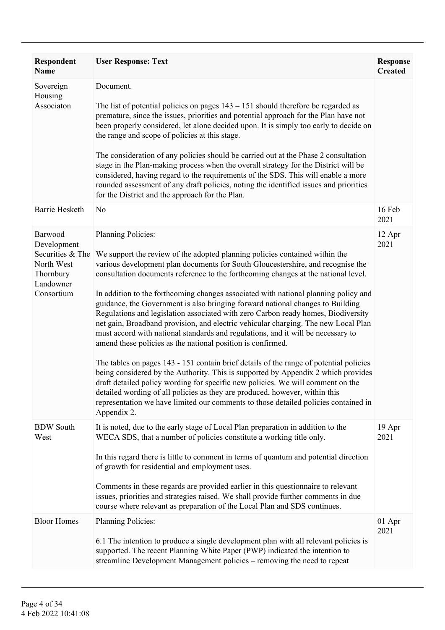| <b>Respondent</b><br><b>Name</b>                                                                 | <b>User Response: Text</b>                                                                                                                                                                                                                                                                                                                                                                                                                                                                                                                                                                                                                                                                                                                                                                                                                                                                                                                                                                                                                                                                                                                                                                                                                      | <b>Response</b><br><b>Created</b> |
|--------------------------------------------------------------------------------------------------|-------------------------------------------------------------------------------------------------------------------------------------------------------------------------------------------------------------------------------------------------------------------------------------------------------------------------------------------------------------------------------------------------------------------------------------------------------------------------------------------------------------------------------------------------------------------------------------------------------------------------------------------------------------------------------------------------------------------------------------------------------------------------------------------------------------------------------------------------------------------------------------------------------------------------------------------------------------------------------------------------------------------------------------------------------------------------------------------------------------------------------------------------------------------------------------------------------------------------------------------------|-----------------------------------|
| Sovereign<br>Housing<br>Associaton                                                               | Document.<br>The list of potential policies on pages $143 - 151$ should therefore be regarded as<br>premature, since the issues, priorities and potential approach for the Plan have not<br>been properly considered, let alone decided upon. It is simply too early to decide on<br>the range and scope of policies at this stage.<br>The consideration of any policies should be carried out at the Phase 2 consultation<br>stage in the Plan-making process when the overall strategy for the District will be<br>considered, having regard to the requirements of the SDS. This will enable a more<br>rounded assessment of any draft policies, noting the identified issues and priorities<br>for the District and the approach for the Plan.                                                                                                                                                                                                                                                                                                                                                                                                                                                                                              |                                   |
| <b>Barrie Hesketh</b>                                                                            | N <sub>0</sub>                                                                                                                                                                                                                                                                                                                                                                                                                                                                                                                                                                                                                                                                                                                                                                                                                                                                                                                                                                                                                                                                                                                                                                                                                                  | 16 Feb<br>2021                    |
| Barwood<br>Development<br>Securities & The<br>North West<br>Thornbury<br>Landowner<br>Consortium | <b>Planning Policies:</b><br>We support the review of the adopted planning policies contained within the<br>various development plan documents for South Gloucestershire, and recognise the<br>consultation documents reference to the forthcoming changes at the national level.<br>In addition to the forthcoming changes associated with national planning policy and<br>guidance, the Government is also bringing forward national changes to Building<br>Regulations and legislation associated with zero Carbon ready homes, Biodiversity<br>net gain, Broadband provision, and electric vehicular charging. The new Local Plan<br>must accord with national standards and regulations, and it will be necessary to<br>amend these policies as the national position is confirmed.<br>The tables on pages 143 - 151 contain brief details of the range of potential policies<br>being considered by the Authority. This is supported by Appendix 2 which provides<br>draft detailed policy wording for specific new policies. We will comment on the<br>detailed wording of all policies as they are produced, however, within this<br>representation we have limited our comments to those detailed policies contained in<br>Appendix 2. | 12 Apr<br>2021                    |
| <b>BDW</b> South<br>West                                                                         | It is noted, due to the early stage of Local Plan preparation in addition to the<br>WECA SDS, that a number of policies constitute a working title only.<br>In this regard there is little to comment in terms of quantum and potential direction<br>of growth for residential and employment uses.<br>Comments in these regards are provided earlier in this questionnaire to relevant<br>issues, priorities and strategies raised. We shall provide further comments in due<br>course where relevant as preparation of the Local Plan and SDS continues.                                                                                                                                                                                                                                                                                                                                                                                                                                                                                                                                                                                                                                                                                      | 19 Apr<br>2021                    |
| <b>Bloor Homes</b>                                                                               | <b>Planning Policies:</b><br>6.1 The intention to produce a single development plan with all relevant policies is<br>supported. The recent Planning White Paper (PWP) indicated the intention to<br>streamline Development Management policies – removing the need to repeat                                                                                                                                                                                                                                                                                                                                                                                                                                                                                                                                                                                                                                                                                                                                                                                                                                                                                                                                                                    | 01 Apr<br>2021                    |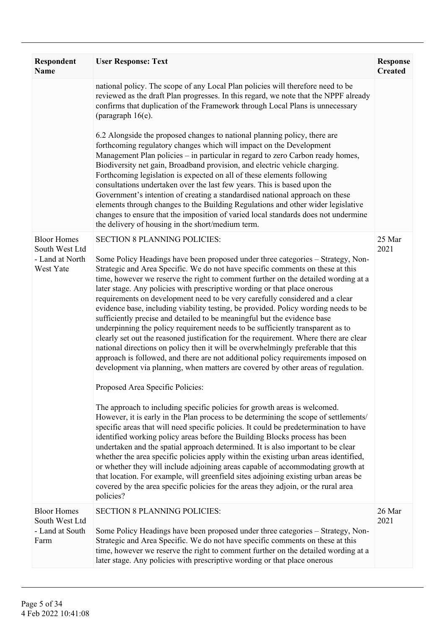| <b>Respondent</b><br><b>Name</b>                                     | <b>User Response: Text</b>                                                                                                                                                                                                                                                                                                                                                                                                                                                                                                                                                                                                                                                                                                                                                                                                                                                                                                                                                                                                                                                                                                                                                                                                                                                                                                                                                                                                                                                                                                                                                                                                                                                                                                                                                                                                                                                                           | <b>Response</b><br><b>Created</b> |
|----------------------------------------------------------------------|------------------------------------------------------------------------------------------------------------------------------------------------------------------------------------------------------------------------------------------------------------------------------------------------------------------------------------------------------------------------------------------------------------------------------------------------------------------------------------------------------------------------------------------------------------------------------------------------------------------------------------------------------------------------------------------------------------------------------------------------------------------------------------------------------------------------------------------------------------------------------------------------------------------------------------------------------------------------------------------------------------------------------------------------------------------------------------------------------------------------------------------------------------------------------------------------------------------------------------------------------------------------------------------------------------------------------------------------------------------------------------------------------------------------------------------------------------------------------------------------------------------------------------------------------------------------------------------------------------------------------------------------------------------------------------------------------------------------------------------------------------------------------------------------------------------------------------------------------------------------------------------------------|-----------------------------------|
|                                                                      | national policy. The scope of any Local Plan policies will therefore need to be<br>reviewed as the draft Plan progresses. In this regard, we note that the NPPF already<br>confirms that duplication of the Framework through Local Plans is unnecessary<br>(paragraph $16(e)$ .<br>6.2 Alongside the proposed changes to national planning policy, there are<br>forthcoming regulatory changes which will impact on the Development<br>Management Plan policies – in particular in regard to zero Carbon ready homes,<br>Biodiversity net gain, Broadband provision, and electric vehicle charging.<br>Forthcoming legislation is expected on all of these elements following<br>consultations undertaken over the last few years. This is based upon the                                                                                                                                                                                                                                                                                                                                                                                                                                                                                                                                                                                                                                                                                                                                                                                                                                                                                                                                                                                                                                                                                                                                           |                                   |
|                                                                      | Government's intention of creating a standardised national approach on these<br>elements through changes to the Building Regulations and other wider legislative<br>changes to ensure that the imposition of varied local standards does not undermine<br>the delivery of housing in the short/medium term.                                                                                                                                                                                                                                                                                                                                                                                                                                                                                                                                                                                                                                                                                                                                                                                                                                                                                                                                                                                                                                                                                                                                                                                                                                                                                                                                                                                                                                                                                                                                                                                          |                                   |
| <b>Bloor Homes</b><br>South West Ltd<br>- Land at North<br>West Yate | <b>SECTION 8 PLANNING POLICIES:</b><br>Some Policy Headings have been proposed under three categories - Strategy, Non-<br>Strategic and Area Specific. We do not have specific comments on these at this<br>time, however we reserve the right to comment further on the detailed wording at a<br>later stage. Any policies with prescriptive wording or that place onerous<br>requirements on development need to be very carefully considered and a clear<br>evidence base, including viability testing, be provided. Policy wording needs to be<br>sufficiently precise and detailed to be meaningful but the evidence base<br>underpinning the policy requirement needs to be sufficiently transparent as to<br>clearly set out the reasoned justification for the requirement. Where there are clear<br>national directions on policy then it will be overwhelmingly preferable that this<br>approach is followed, and there are not additional policy requirements imposed on<br>development via planning, when matters are covered by other areas of regulation.<br>Proposed Area Specific Policies:<br>The approach to including specific policies for growth areas is welcomed.<br>However, it is early in the Plan process to be determining the scope of settlements/<br>specific areas that will need specific policies. It could be predetermination to have<br>identified working policy areas before the Building Blocks process has been<br>undertaken and the spatial approach determined. It is also important to be clear<br>whether the area specific policies apply within the existing urban areas identified,<br>or whether they will include adjoining areas capable of accommodating growth at<br>that location. For example, will greenfield sites adjoining existing urban areas be<br>covered by the area specific policies for the areas they adjoin, or the rural area | 25 Mar<br>2021                    |
| <b>Bloor Homes</b><br>South West Ltd<br>- Land at South<br>Farm      | policies?<br><b>SECTION 8 PLANNING POLICIES:</b><br>Some Policy Headings have been proposed under three categories - Strategy, Non-<br>Strategic and Area Specific. We do not have specific comments on these at this<br>time, however we reserve the right to comment further on the detailed wording at a                                                                                                                                                                                                                                                                                                                                                                                                                                                                                                                                                                                                                                                                                                                                                                                                                                                                                                                                                                                                                                                                                                                                                                                                                                                                                                                                                                                                                                                                                                                                                                                          | 26 Mar<br>2021                    |
|                                                                      | later stage. Any policies with prescriptive wording or that place onerous                                                                                                                                                                                                                                                                                                                                                                                                                                                                                                                                                                                                                                                                                                                                                                                                                                                                                                                                                                                                                                                                                                                                                                                                                                                                                                                                                                                                                                                                                                                                                                                                                                                                                                                                                                                                                            |                                   |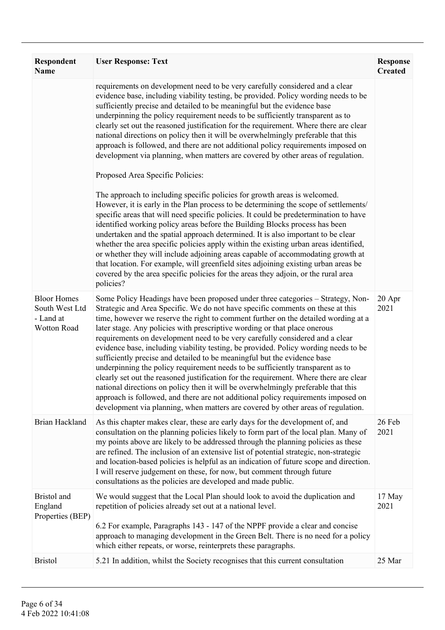| <b>Respondent</b><br><b>Name</b>                                 | <b>User Response: Text</b>                                                                                                                                                                                                                                                                                                                                                                                                                                                                                                                                                                                                                                                                                                                                                                                                                                                                                                                                                                                                                                                                                                                                                                                                                                                                                                                                                                                                                                                                                            | <b>Response</b><br><b>Created</b> |
|------------------------------------------------------------------|-----------------------------------------------------------------------------------------------------------------------------------------------------------------------------------------------------------------------------------------------------------------------------------------------------------------------------------------------------------------------------------------------------------------------------------------------------------------------------------------------------------------------------------------------------------------------------------------------------------------------------------------------------------------------------------------------------------------------------------------------------------------------------------------------------------------------------------------------------------------------------------------------------------------------------------------------------------------------------------------------------------------------------------------------------------------------------------------------------------------------------------------------------------------------------------------------------------------------------------------------------------------------------------------------------------------------------------------------------------------------------------------------------------------------------------------------------------------------------------------------------------------------|-----------------------------------|
|                                                                  | requirements on development need to be very carefully considered and a clear<br>evidence base, including viability testing, be provided. Policy wording needs to be<br>sufficiently precise and detailed to be meaningful but the evidence base<br>underpinning the policy requirement needs to be sufficiently transparent as to<br>clearly set out the reasoned justification for the requirement. Where there are clear<br>national directions on policy then it will be overwhelmingly preferable that this<br>approach is followed, and there are not additional policy requirements imposed on<br>development via planning, when matters are covered by other areas of regulation.<br>Proposed Area Specific Policies:<br>The approach to including specific policies for growth areas is welcomed.<br>However, it is early in the Plan process to be determining the scope of settlements/<br>specific areas that will need specific policies. It could be predetermination to have<br>identified working policy areas before the Building Blocks process has been<br>undertaken and the spatial approach determined. It is also important to be clear<br>whether the area specific policies apply within the existing urban areas identified,<br>or whether they will include adjoining areas capable of accommodating growth at<br>that location. For example, will greenfield sites adjoining existing urban areas be<br>covered by the area specific policies for the areas they adjoin, or the rural area |                                   |
| <b>Bloor Homes</b><br>South West Ltd<br>- Land at<br>Wotton Road | policies?<br>Some Policy Headings have been proposed under three categories - Strategy, Non-<br>Strategic and Area Specific. We do not have specific comments on these at this<br>time, however we reserve the right to comment further on the detailed wording at a<br>later stage. Any policies with prescriptive wording or that place onerous<br>requirements on development need to be very carefully considered and a clear<br>evidence base, including viability testing, be provided. Policy wording needs to be<br>sufficiently precise and detailed to be meaningful but the evidence base<br>underpinning the policy requirement needs to be sufficiently transparent as to<br>clearly set out the reasoned justification for the requirement. Where there are clear<br>national directions on policy then it will be overwhelmingly preferable that this<br>approach is followed, and there are not additional policy requirements imposed on<br>development via planning, when matters are covered by other areas of regulation.                                                                                                                                                                                                                                                                                                                                                                                                                                                                         | 20 Apr<br>2021                    |
| Brian Hackland                                                   | As this chapter makes clear, these are early days for the development of, and<br>consultation on the planning policies likely to form part of the local plan. Many of<br>my points above are likely to be addressed through the planning policies as these<br>are refined. The inclusion of an extensive list of potential strategic, non-strategic<br>and location-based policies is helpful as an indication of future scope and direction.<br>I will reserve judgement on these, for now, but comment through future<br>consultations as the policies are developed and made public.                                                                                                                                                                                                                                                                                                                                                                                                                                                                                                                                                                                                                                                                                                                                                                                                                                                                                                                               | 26 Feb<br>2021                    |
| Bristol and<br>England<br>Properties (BEP)                       | We would suggest that the Local Plan should look to avoid the duplication and<br>repetition of policies already set out at a national level.<br>6.2 For example, Paragraphs 143 - 147 of the NPPF provide a clear and concise<br>approach to managing development in the Green Belt. There is no need for a policy<br>which either repeats, or worse, reinterprets these paragraphs.                                                                                                                                                                                                                                                                                                                                                                                                                                                                                                                                                                                                                                                                                                                                                                                                                                                                                                                                                                                                                                                                                                                                  | 17 May<br>2021                    |
| <b>Bristol</b>                                                   | 5.21 In addition, whilst the Society recognises that this current consultation                                                                                                                                                                                                                                                                                                                                                                                                                                                                                                                                                                                                                                                                                                                                                                                                                                                                                                                                                                                                                                                                                                                                                                                                                                                                                                                                                                                                                                        | 25 Mar                            |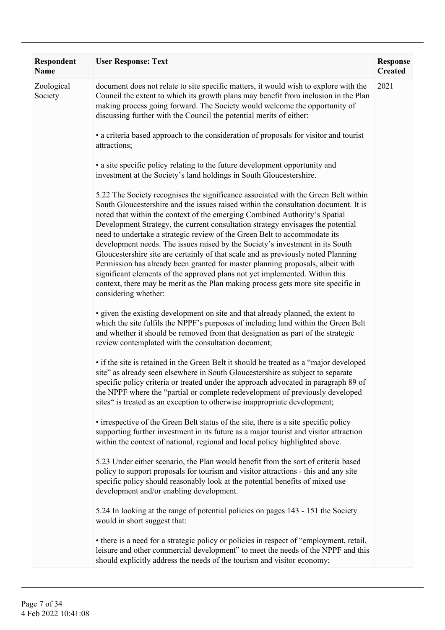| <b>Respondent</b><br><b>Name</b> | <b>User Response: Text</b>                                                                                                                                                                                                                                                                                                                                                                                                                                                                                                                                                                                                                                                                                                                                                                                                                                                  | <b>Response</b><br><b>Created</b> |
|----------------------------------|-----------------------------------------------------------------------------------------------------------------------------------------------------------------------------------------------------------------------------------------------------------------------------------------------------------------------------------------------------------------------------------------------------------------------------------------------------------------------------------------------------------------------------------------------------------------------------------------------------------------------------------------------------------------------------------------------------------------------------------------------------------------------------------------------------------------------------------------------------------------------------|-----------------------------------|
| Zoological<br>Society            | document does not relate to site specific matters, it would wish to explore with the<br>Council the extent to which its growth plans may benefit from inclusion in the Plan<br>making process going forward. The Society would welcome the opportunity of<br>discussing further with the Council the potential merits of either:                                                                                                                                                                                                                                                                                                                                                                                                                                                                                                                                            | 2021                              |
|                                  | • a criteria based approach to the consideration of proposals for visitor and tourist<br>attractions;                                                                                                                                                                                                                                                                                                                                                                                                                                                                                                                                                                                                                                                                                                                                                                       |                                   |
|                                  | • a site specific policy relating to the future development opportunity and<br>investment at the Society's land holdings in South Gloucestershire.                                                                                                                                                                                                                                                                                                                                                                                                                                                                                                                                                                                                                                                                                                                          |                                   |
|                                  | 5.22 The Society recognises the significance associated with the Green Belt within<br>South Gloucestershire and the issues raised within the consultation document. It is<br>noted that within the context of the emerging Combined Authority's Spatial<br>Development Strategy, the current consultation strategy envisages the potential<br>need to undertake a strategic review of the Green Belt to accommodate its<br>development needs. The issues raised by the Society's investment in its South<br>Gloucestershire site are certainly of that scale and as previously noted Planning<br>Permission has already been granted for master planning proposals, albeit with<br>significant elements of the approved plans not yet implemented. Within this<br>context, there may be merit as the Plan making process gets more site specific in<br>considering whether: |                                   |
|                                  | • given the existing development on site and that already planned, the extent to<br>which the site fulfils the NPPF's purposes of including land within the Green Belt<br>and whether it should be removed from that designation as part of the strategic<br>review contemplated with the consultation document;                                                                                                                                                                                                                                                                                                                                                                                                                                                                                                                                                            |                                   |
|                                  | • if the site is retained in the Green Belt it should be treated as a "major developed<br>site" as already seen elsewhere in South Gloucestershire as subject to separate<br>specific policy criteria or treated under the approach advocated in paragraph 89 of<br>the NPPF where the "partial or complete redevelopment of previously developed<br>sites" is treated as an exception to otherwise inappropriate development;                                                                                                                                                                                                                                                                                                                                                                                                                                              |                                   |
|                                  | • irrespective of the Green Belt status of the site, there is a site specific policy<br>supporting further investment in its future as a major tourist and visitor attraction<br>within the context of national, regional and local policy highlighted above.                                                                                                                                                                                                                                                                                                                                                                                                                                                                                                                                                                                                               |                                   |
|                                  | 5.23 Under either scenario, the Plan would benefit from the sort of criteria based<br>policy to support proposals for tourism and visitor attractions - this and any site<br>specific policy should reasonably look at the potential benefits of mixed use<br>development and/or enabling development.                                                                                                                                                                                                                                                                                                                                                                                                                                                                                                                                                                      |                                   |
|                                  | 5.24 In looking at the range of potential policies on pages 143 - 151 the Society<br>would in short suggest that:                                                                                                                                                                                                                                                                                                                                                                                                                                                                                                                                                                                                                                                                                                                                                           |                                   |
|                                  | • there is a need for a strategic policy or policies in respect of "employment, retail,<br>leisure and other commercial development" to meet the needs of the NPPF and this<br>should explicitly address the needs of the tourism and visitor economy;                                                                                                                                                                                                                                                                                                                                                                                                                                                                                                                                                                                                                      |                                   |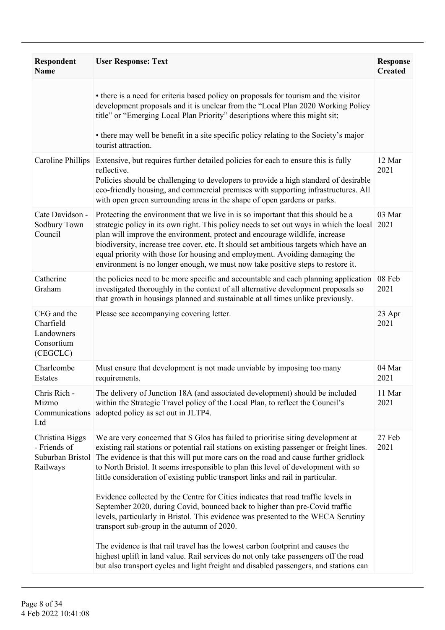| Respondent<br><b>Name</b>                                        | <b>User Response: Text</b>                                                                                                                                                                                                                                                                                                                                                                                                                                                                                                                                                                                                                                                                                                                           | <b>Response</b><br><b>Created</b> |
|------------------------------------------------------------------|------------------------------------------------------------------------------------------------------------------------------------------------------------------------------------------------------------------------------------------------------------------------------------------------------------------------------------------------------------------------------------------------------------------------------------------------------------------------------------------------------------------------------------------------------------------------------------------------------------------------------------------------------------------------------------------------------------------------------------------------------|-----------------------------------|
|                                                                  | • there is a need for criteria based policy on proposals for tourism and the visitor<br>development proposals and it is unclear from the "Local Plan 2020 Working Policy<br>title" or "Emerging Local Plan Priority" descriptions where this might sit;<br>• there may well be benefit in a site specific policy relating to the Society's major<br>tourist attraction.                                                                                                                                                                                                                                                                                                                                                                              |                                   |
| Caroline Phillips                                                | Extensive, but requires further detailed policies for each to ensure this is fully<br>reflective.<br>Policies should be challenging to developers to provide a high standard of desirable<br>eco-friendly housing, and commercial premises with supporting infrastructures. All<br>with open green surrounding areas in the shape of open gardens or parks.                                                                                                                                                                                                                                                                                                                                                                                          | 12 Mar<br>2021                    |
| Cate Davidson -<br>Sodbury Town<br>Council                       | Protecting the environment that we live in is so important that this should be a<br>strategic policy in its own right. This policy needs to set out ways in which the local<br>plan will improve the environment, protect and encourage wildlife, increase<br>biodiversity, increase tree cover, etc. It should set ambitious targets which have an<br>equal priority with those for housing and employment. Avoiding damaging the<br>environment is no longer enough, we must now take positive steps to restore it.                                                                                                                                                                                                                                | 03 Mar<br>2021                    |
| Catherine<br>Graham                                              | the policies need to be more specific and accountable and each planning application<br>investigated thoroughly in the context of all alternative development proposals so<br>that growth in housings planned and sustainable at all times unlike previously.                                                                                                                                                                                                                                                                                                                                                                                                                                                                                         | 08 Feb<br>2021                    |
| CEG and the<br>Charfield<br>Landowners<br>Consortium<br>(CEGCLC) | Please see accompanying covering letter.                                                                                                                                                                                                                                                                                                                                                                                                                                                                                                                                                                                                                                                                                                             | 23 Apr<br>2021                    |
| Charlcombe<br>Estates                                            | Must ensure that development is not made unviable by imposing too many<br>requirements.                                                                                                                                                                                                                                                                                                                                                                                                                                                                                                                                                                                                                                                              | 04 Mar<br>2021                    |
| Chris Rich -<br>Mizmo<br>Communications<br>Ltd                   | The delivery of Junction 18A (and associated development) should be included<br>within the Strategic Travel policy of the Local Plan, to reflect the Council's<br>adopted policy as set out in JLTP4.                                                                                                                                                                                                                                                                                                                                                                                                                                                                                                                                                | 11 Mar<br>2021                    |
| Christina Biggs<br>- Friends of<br>Suburban Bristol<br>Railways  | We are very concerned that S Glos has failed to prioritise siting development at<br>existing rail stations or potential rail stations on existing passenger or freight lines.<br>The evidence is that this will put more cars on the road and cause further gridlock<br>to North Bristol. It seems irresponsible to plan this level of development with so<br>little consideration of existing public transport links and rail in particular.<br>Evidence collected by the Centre for Cities indicates that road traffic levels in<br>September 2020, during Covid, bounced back to higher than pre-Covid traffic<br>levels, particularly in Bristol. This evidence was presented to the WECA Scrutiny<br>transport sub-group in the autumn of 2020. | 27 Feb<br>2021                    |
|                                                                  | The evidence is that rail travel has the lowest carbon footprint and causes the<br>highest uplift in land value. Rail services do not only take passengers off the road<br>but also transport cycles and light freight and disabled passengers, and stations can                                                                                                                                                                                                                                                                                                                                                                                                                                                                                     |                                   |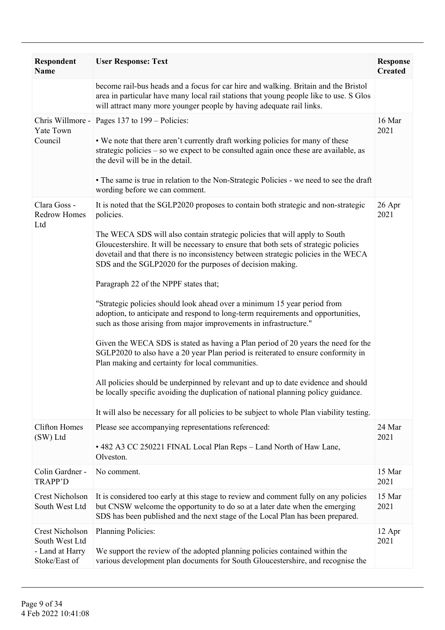| Respondent<br><b>Name</b>                                                    | <b>User Response: Text</b>                                                                                                                                                                                                                                                                                                                                                                                                                                                                                                                                                                                                                                                                                                                                                                                                                                                                                                                                                                                                                                                                                                                                                                                   | <b>Response</b><br><b>Created</b> |
|------------------------------------------------------------------------------|--------------------------------------------------------------------------------------------------------------------------------------------------------------------------------------------------------------------------------------------------------------------------------------------------------------------------------------------------------------------------------------------------------------------------------------------------------------------------------------------------------------------------------------------------------------------------------------------------------------------------------------------------------------------------------------------------------------------------------------------------------------------------------------------------------------------------------------------------------------------------------------------------------------------------------------------------------------------------------------------------------------------------------------------------------------------------------------------------------------------------------------------------------------------------------------------------------------|-----------------------------------|
|                                                                              | become rail-bus heads and a focus for car hire and walking. Britain and the Bristol<br>area in particular have many local rail stations that young people like to use. S Glos<br>will attract many more younger people by having adequate rail links.                                                                                                                                                                                                                                                                                                                                                                                                                                                                                                                                                                                                                                                                                                                                                                                                                                                                                                                                                        |                                   |
| Yate Town<br>Council                                                         | Chris Willmore - Pages 137 to 199 – Policies:<br>. We note that there aren't currently draft working policies for many of these<br>strategic policies – so we expect to be consulted again once these are available, as<br>the devil will be in the detail.<br>• The same is true in relation to the Non-Strategic Policies - we need to see the draft<br>wording before we can comment.                                                                                                                                                                                                                                                                                                                                                                                                                                                                                                                                                                                                                                                                                                                                                                                                                     | 16 Mar<br>2021                    |
| Clara Goss -<br><b>Redrow Homes</b><br>Ltd                                   | It is noted that the SGLP2020 proposes to contain both strategic and non-strategic<br>policies.<br>The WECA SDS will also contain strategic policies that will apply to South<br>Gloucestershire. It will be necessary to ensure that both sets of strategic policies<br>dovetail and that there is no inconsistency between strategic policies in the WECA<br>SDS and the SGLP2020 for the purposes of decision making.<br>Paragraph 22 of the NPPF states that;<br>"Strategic policies should look ahead over a minimum 15 year period from<br>adoption, to anticipate and respond to long-term requirements and opportunities,<br>such as those arising from major improvements in infrastructure."<br>Given the WECA SDS is stated as having a Plan period of 20 years the need for the<br>SGLP2020 to also have a 20 year Plan period is reiterated to ensure conformity in<br>Plan making and certainty for local communities.<br>All policies should be underpinned by relevant and up to date evidence and should<br>be locally specific avoiding the duplication of national planning policy guidance.<br>It will also be necessary for all policies to be subject to whole Plan viability testing. | 26 Apr<br>2021                    |
| <b>Clifton Homes</b><br>(SW) Ltd                                             | Please see accompanying representations referenced:<br>• 482 A3 CC 250221 FINAL Local Plan Reps - Land North of Haw Lane,<br>Olveston.                                                                                                                                                                                                                                                                                                                                                                                                                                                                                                                                                                                                                                                                                                                                                                                                                                                                                                                                                                                                                                                                       | 24 Mar<br>2021                    |
| Colin Gardner -<br><b>TRAPP'D</b>                                            | No comment.                                                                                                                                                                                                                                                                                                                                                                                                                                                                                                                                                                                                                                                                                                                                                                                                                                                                                                                                                                                                                                                                                                                                                                                                  | 15 Mar<br>2021                    |
| <b>Crest Nicholson</b><br>South West Ltd                                     | It is considered too early at this stage to review and comment fully on any policies<br>but CNSW welcome the opportunity to do so at a later date when the emerging<br>SDS has been published and the next stage of the Local Plan has been prepared.                                                                                                                                                                                                                                                                                                                                                                                                                                                                                                                                                                                                                                                                                                                                                                                                                                                                                                                                                        | 15 Mar<br>2021                    |
| <b>Crest Nicholson</b><br>South West Ltd<br>- Land at Harry<br>Stoke/East of | Planning Policies:<br>We support the review of the adopted planning policies contained within the<br>various development plan documents for South Gloucestershire, and recognise the                                                                                                                                                                                                                                                                                                                                                                                                                                                                                                                                                                                                                                                                                                                                                                                                                                                                                                                                                                                                                         | 12 Apr<br>2021                    |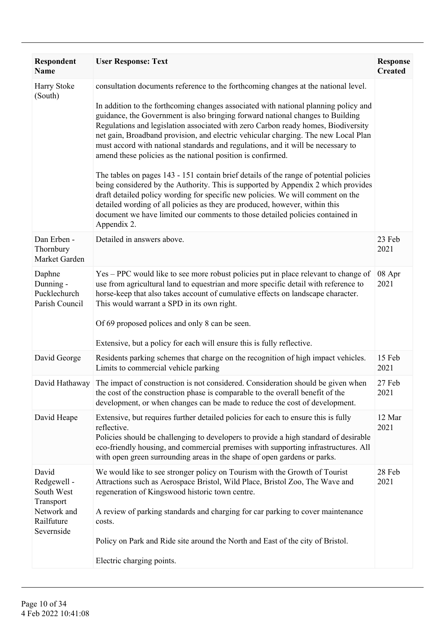| <b>Respondent</b><br>Name                                                                  | <b>User Response: Text</b>                                                                                                                                                                                                                                                                                                                                                                                                                                                                                                                                                                                                                                                                                                                                                                                                                                                                                                                                                                                                                 | <b>Response</b><br><b>Created</b> |
|--------------------------------------------------------------------------------------------|--------------------------------------------------------------------------------------------------------------------------------------------------------------------------------------------------------------------------------------------------------------------------------------------------------------------------------------------------------------------------------------------------------------------------------------------------------------------------------------------------------------------------------------------------------------------------------------------------------------------------------------------------------------------------------------------------------------------------------------------------------------------------------------------------------------------------------------------------------------------------------------------------------------------------------------------------------------------------------------------------------------------------------------------|-----------------------------------|
| Harry Stoke<br>(South)                                                                     | consultation documents reference to the forthcoming changes at the national level.<br>In addition to the forthcoming changes associated with national planning policy and<br>guidance, the Government is also bringing forward national changes to Building<br>Regulations and legislation associated with zero Carbon ready homes, Biodiversity<br>net gain, Broadband provision, and electric vehicular charging. The new Local Plan<br>must accord with national standards and regulations, and it will be necessary to<br>amend these policies as the national position is confirmed.<br>The tables on pages 143 - 151 contain brief details of the range of potential policies<br>being considered by the Authority. This is supported by Appendix 2 which provides<br>draft detailed policy wording for specific new policies. We will comment on the<br>detailed wording of all policies as they are produced, however, within this<br>document we have limited our comments to those detailed policies contained in<br>Appendix 2. |                                   |
| Dan Erben -<br>Thornbury<br>Market Garden                                                  | Detailed in answers above.                                                                                                                                                                                                                                                                                                                                                                                                                                                                                                                                                                                                                                                                                                                                                                                                                                                                                                                                                                                                                 | 23 Feb<br>2021                    |
| Daphne<br>Dunning -<br>Pucklechurch<br>Parish Council                                      | Yes – PPC would like to see more robust policies put in place relevant to change of<br>use from agricultural land to equestrian and more specific detail with reference to<br>horse-keep that also takes account of cumulative effects on landscape character.<br>This would warrant a SPD in its own right.<br>Of 69 proposed polices and only 8 can be seen.<br>Extensive, but a policy for each will ensure this is fully reflective.                                                                                                                                                                                                                                                                                                                                                                                                                                                                                                                                                                                                   | 08 Apr<br>2021                    |
| David George                                                                               | Residents parking schemes that charge on the recognition of high impact vehicles.<br>Limits to commercial vehicle parking                                                                                                                                                                                                                                                                                                                                                                                                                                                                                                                                                                                                                                                                                                                                                                                                                                                                                                                  | 15 Feb<br>2021                    |
| David Hathaway                                                                             | The impact of construction is not considered. Consideration should be given when<br>the cost of the construction phase is comparable to the overall benefit of the<br>development, or when changes can be made to reduce the cost of development.                                                                                                                                                                                                                                                                                                                                                                                                                                                                                                                                                                                                                                                                                                                                                                                          | 27 Feb<br>2021                    |
| David Heape                                                                                | Extensive, but requires further detailed policies for each to ensure this is fully<br>reflective.<br>Policies should be challenging to developers to provide a high standard of desirable<br>eco-friendly housing, and commercial premises with supporting infrastructures. All<br>with open green surrounding areas in the shape of open gardens or parks.                                                                                                                                                                                                                                                                                                                                                                                                                                                                                                                                                                                                                                                                                | 12 Mar<br>2021                    |
| David<br>Redgewell -<br>South West<br>Transport<br>Network and<br>Railfuture<br>Severnside | We would like to see stronger policy on Tourism with the Growth of Tourist<br>Attractions such as Aerospace Bristol, Wild Place, Bristol Zoo, The Wave and<br>regeneration of Kingswood historic town centre.<br>A review of parking standards and charging for car parking to cover maintenance<br>costs.<br>Policy on Park and Ride site around the North and East of the city of Bristol.<br>Electric charging points.                                                                                                                                                                                                                                                                                                                                                                                                                                                                                                                                                                                                                  | 28 Feb<br>2021                    |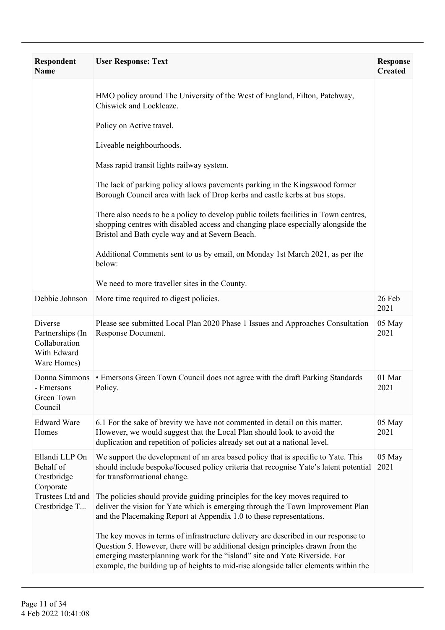| <b>Respondent</b><br><b>Name</b>                                           | <b>User Response: Text</b>                                                                                                                                                                                                                                                                                                                 | <b>Response</b><br><b>Created</b> |
|----------------------------------------------------------------------------|--------------------------------------------------------------------------------------------------------------------------------------------------------------------------------------------------------------------------------------------------------------------------------------------------------------------------------------------|-----------------------------------|
|                                                                            | HMO policy around The University of the West of England, Filton, Patchway,<br>Chiswick and Lockleaze.                                                                                                                                                                                                                                      |                                   |
|                                                                            | Policy on Active travel.                                                                                                                                                                                                                                                                                                                   |                                   |
|                                                                            | Liveable neighbourhoods.                                                                                                                                                                                                                                                                                                                   |                                   |
|                                                                            | Mass rapid transit lights railway system.                                                                                                                                                                                                                                                                                                  |                                   |
|                                                                            | The lack of parking policy allows pavements parking in the Kingswood former<br>Borough Council area with lack of Drop kerbs and castle kerbs at bus stops.                                                                                                                                                                                 |                                   |
|                                                                            | There also needs to be a policy to develop public toilets facilities in Town centres,<br>shopping centres with disabled access and changing place especially alongside the<br>Bristol and Bath cycle way and at Severn Beach.                                                                                                              |                                   |
|                                                                            | Additional Comments sent to us by email, on Monday 1st March 2021, as per the<br>below:                                                                                                                                                                                                                                                    |                                   |
|                                                                            | We need to more traveller sites in the County.                                                                                                                                                                                                                                                                                             |                                   |
| Debbie Johnson                                                             | More time required to digest policies.                                                                                                                                                                                                                                                                                                     | 26 Feb<br>2021                    |
| Diverse<br>Partnerships (In<br>Collaboration<br>With Edward<br>Ware Homes) | Please see submitted Local Plan 2020 Phase 1 Issues and Approaches Consultation<br>Response Document.                                                                                                                                                                                                                                      | 05 May<br>2021                    |
| - Emersons<br>Green Town<br>Council                                        | Donna Simmons • Emersons Green Town Council does not agree with the draft Parking Standards<br>Policy.                                                                                                                                                                                                                                     | 01 Mar<br>2021                    |
| <b>Edward Ware</b><br>Homes                                                | 6.1 For the sake of brevity we have not commented in detail on this matter.<br>However, we would suggest that the Local Plan should look to avoid the<br>duplication and repetition of policies already set out at a national level.                                                                                                       | 05 May<br>2021                    |
| Ellandi LLP On<br>Behalf of<br>Crestbridge<br>Corporate                    | We support the development of an area based policy that is specific to Yate. This<br>should include bespoke/focused policy criteria that recognise Yate's latent potential<br>for transformational change.                                                                                                                                 | 05 May<br>2021                    |
| Trustees Ltd and<br>Crestbridge T                                          | The policies should provide guiding principles for the key moves required to<br>deliver the vision for Yate which is emerging through the Town Improvement Plan<br>and the Placemaking Report at Appendix 1.0 to these representations.                                                                                                    |                                   |
|                                                                            | The key moves in terms of infrastructure delivery are described in our response to<br>Question 5. However, there will be additional design principles drawn from the<br>emerging masterplanning work for the "island" site and Yate Riverside. For<br>example, the building up of heights to mid-rise alongside taller elements within the |                                   |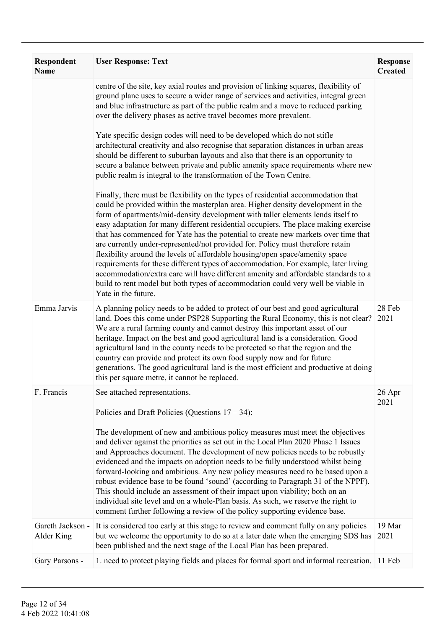| Respondent<br><b>Name</b>      | <b>User Response: Text</b>                                                                                                                                                                                                                                                                                                                                                                                                                                                                                                                                                                                                                                                                                                                                                                                                                                                                    | <b>Response</b><br><b>Created</b> |
|--------------------------------|-----------------------------------------------------------------------------------------------------------------------------------------------------------------------------------------------------------------------------------------------------------------------------------------------------------------------------------------------------------------------------------------------------------------------------------------------------------------------------------------------------------------------------------------------------------------------------------------------------------------------------------------------------------------------------------------------------------------------------------------------------------------------------------------------------------------------------------------------------------------------------------------------|-----------------------------------|
|                                | centre of the site, key axial routes and provision of linking squares, flexibility of<br>ground plane uses to secure a wider range of services and activities, integral green<br>and blue infrastructure as part of the public realm and a move to reduced parking<br>over the delivery phases as active travel becomes more prevalent.                                                                                                                                                                                                                                                                                                                                                                                                                                                                                                                                                       |                                   |
|                                | Yate specific design codes will need to be developed which do not stifle<br>architectural creativity and also recognise that separation distances in urban areas<br>should be different to suburban layouts and also that there is an opportunity to<br>secure a balance between private and public amenity space requirements where new<br>public realm is integral to the transformation of the Town Centre.                                                                                                                                                                                                                                                                                                                                                                                                                                                                                |                                   |
|                                | Finally, there must be flexibility on the types of residential accommodation that<br>could be provided within the masterplan area. Higher density development in the<br>form of apartments/mid-density development with taller elements lends itself to<br>easy adaptation for many different residential occupiers. The place making exercise<br>that has commenced for Yate has the potential to create new markets over time that<br>are currently under-represented/not provided for. Policy must therefore retain<br>flexibility around the levels of affordable housing/open space/amenity space<br>requirements for these different types of accommodation. For example, later living<br>accommodation/extra care will have different amenity and affordable standards to a<br>build to rent model but both types of accommodation could very well be viable in<br>Yate in the future. |                                   |
| Emma Jarvis                    | A planning policy needs to be added to protect of our best and good agricultural<br>land. Does this come under PSP28 Supporting the Rural Economy, this is not clear?<br>We are a rural farming county and cannot destroy this important asset of our<br>heritage. Impact on the best and good agricultural land is a consideration. Good<br>agricultural land in the county needs to be protected so that the region and the<br>country can provide and protect its own food supply now and for future<br>generations. The good agricultural land is the most efficient and productive at doing<br>this per square metre, it cannot be replaced.                                                                                                                                                                                                                                             | 28 Feb<br>2021                    |
| F. Francis                     | See attached representations.                                                                                                                                                                                                                                                                                                                                                                                                                                                                                                                                                                                                                                                                                                                                                                                                                                                                 | 26 Apr<br>2021                    |
|                                | Policies and Draft Policies (Questions $17 - 34$ ):<br>The development of new and ambitious policy measures must meet the objectives<br>and deliver against the priorities as set out in the Local Plan 2020 Phase 1 Issues<br>and Approaches document. The development of new policies needs to be robustly<br>evidenced and the impacts on adoption needs to be fully understood whilst being<br>forward-looking and ambitious. Any new policy measures need to be based upon a<br>robust evidence base to be found 'sound' (according to Paragraph 31 of the NPPF).<br>This should include an assessment of their impact upon viability; both on an<br>individual site level and on a whole-Plan basis. As such, we reserve the right to<br>comment further following a review of the policy supporting evidence base.                                                                     |                                   |
| Gareth Jackson -<br>Alder King | It is considered too early at this stage to review and comment fully on any policies<br>but we welcome the opportunity to do so at a later date when the emerging SDS has<br>been published and the next stage of the Local Plan has been prepared.                                                                                                                                                                                                                                                                                                                                                                                                                                                                                                                                                                                                                                           | 19 Mar<br>2021                    |
| Gary Parsons -                 | 1. need to protect playing fields and places for formal sport and informal recreation. 11 Feb                                                                                                                                                                                                                                                                                                                                                                                                                                                                                                                                                                                                                                                                                                                                                                                                 |                                   |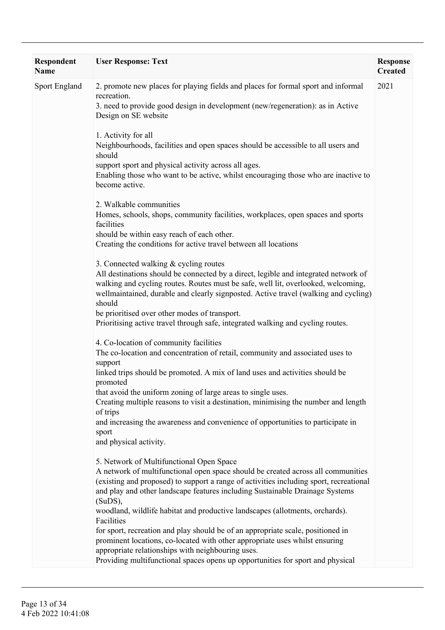| <b>Respondent</b><br><b>Name</b> | <b>User Response: Text</b>                                                                                                                                                                                                                                                                                                                                                                                                                                                                                                                                                                                                                                                                                                                            | <b>Response</b><br><b>Created</b> |
|----------------------------------|-------------------------------------------------------------------------------------------------------------------------------------------------------------------------------------------------------------------------------------------------------------------------------------------------------------------------------------------------------------------------------------------------------------------------------------------------------------------------------------------------------------------------------------------------------------------------------------------------------------------------------------------------------------------------------------------------------------------------------------------------------|-----------------------------------|
| <b>Sport England</b>             | 2. promote new places for playing fields and places for formal sport and informal<br>recreation.<br>3. need to provide good design in development (new/regeneration): as in Active<br>Design on SE website                                                                                                                                                                                                                                                                                                                                                                                                                                                                                                                                            | 2021                              |
|                                  | 1. Activity for all<br>Neighbourhoods, facilities and open spaces should be accessible to all users and<br>should<br>support sport and physical activity across all ages.<br>Enabling those who want to be active, whilst encouraging those who are inactive to<br>become active.                                                                                                                                                                                                                                                                                                                                                                                                                                                                     |                                   |
|                                  | 2. Walkable communities<br>Homes, schools, shops, community facilities, workplaces, open spaces and sports<br>facilities<br>should be within easy reach of each other.<br>Creating the conditions for active travel between all locations                                                                                                                                                                                                                                                                                                                                                                                                                                                                                                             |                                   |
|                                  | 3. Connected walking & cycling routes<br>All destinations should be connected by a direct, legible and integrated network of<br>walking and cycling routes. Routes must be safe, well lit, overlooked, welcoming,<br>wellmaintained, durable and clearly signposted. Active travel (walking and cycling)<br>should<br>be prioritised over other modes of transport.<br>Prioritising active travel through safe, integrated walking and cycling routes.                                                                                                                                                                                                                                                                                                |                                   |
|                                  | 4. Co-location of community facilities<br>The co-location and concentration of retail, community and associated uses to<br>support<br>linked trips should be promoted. A mix of land uses and activities should be<br>promoted<br>that avoid the uniform zoning of large areas to single uses.<br>Creating multiple reasons to visit a destination, minimising the number and length<br>of trips<br>and increasing the awareness and convenience of opportunities to participate in<br>sport                                                                                                                                                                                                                                                          |                                   |
|                                  | and physical activity.<br>5. Network of Multifunctional Open Space<br>A network of multifunctional open space should be created across all communities<br>(existing and proposed) to support a range of activities including sport, recreational<br>and play and other landscape features including Sustainable Drainage Systems<br>$(SuDS)$ ,<br>woodland, wildlife habitat and productive landscapes (allotments, orchards).<br>Facilities<br>for sport, recreation and play should be of an appropriate scale, positioned in<br>prominent locations, co-located with other appropriate uses whilst ensuring<br>appropriate relationships with neighbouring uses.<br>Providing multifunctional spaces opens up opportunities for sport and physical |                                   |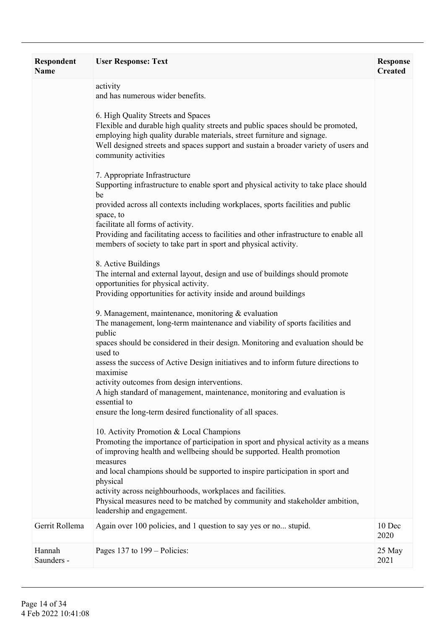| Respondent<br><b>Name</b> | <b>User Response: Text</b>                                                                                                                                                                                                                                                                                      | <b>Response</b><br><b>Created</b> |
|---------------------------|-----------------------------------------------------------------------------------------------------------------------------------------------------------------------------------------------------------------------------------------------------------------------------------------------------------------|-----------------------------------|
|                           | activity<br>and has numerous wider benefits.                                                                                                                                                                                                                                                                    |                                   |
|                           | 6. High Quality Streets and Spaces<br>Flexible and durable high quality streets and public spaces should be promoted,<br>employing high quality durable materials, street furniture and signage.<br>Well designed streets and spaces support and sustain a broader variety of users and<br>community activities |                                   |
|                           | 7. Appropriate Infrastructure<br>Supporting infrastructure to enable sport and physical activity to take place should<br>be                                                                                                                                                                                     |                                   |
|                           | provided across all contexts including workplaces, sports facilities and public<br>space, to                                                                                                                                                                                                                    |                                   |
|                           | facilitate all forms of activity.<br>Providing and facilitating access to facilities and other infrastructure to enable all<br>members of society to take part in sport and physical activity.                                                                                                                  |                                   |
|                           | 8. Active Buildings<br>The internal and external layout, design and use of buildings should promote<br>opportunities for physical activity.<br>Providing opportunities for activity inside and around buildings                                                                                                 |                                   |
|                           | 9. Management, maintenance, monitoring $&$ evaluation<br>The management, long-term maintenance and viability of sports facilities and<br>public                                                                                                                                                                 |                                   |
|                           | spaces should be considered in their design. Monitoring and evaluation should be<br>used to<br>assess the success of Active Design initiatives and to inform future directions to                                                                                                                               |                                   |
|                           | maximise<br>activity outcomes from design interventions.<br>A high standard of management, maintenance, monitoring and evaluation is<br>essential to<br>ensure the long-term desired functionality of all spaces.                                                                                               |                                   |
|                           | 10. Activity Promotion & Local Champions                                                                                                                                                                                                                                                                        |                                   |
|                           | Promoting the importance of participation in sport and physical activity as a means<br>of improving health and wellbeing should be supported. Health promotion<br>measures                                                                                                                                      |                                   |
|                           | and local champions should be supported to inspire participation in sport and<br>physical                                                                                                                                                                                                                       |                                   |
|                           | activity across neighbourhoods, workplaces and facilities.<br>Physical measures need to be matched by community and stakeholder ambition,<br>leadership and engagement.                                                                                                                                         |                                   |
| Gerrit Rollema            | Again over 100 policies, and 1 question to say yes or no stupid.                                                                                                                                                                                                                                                | 10 Dec<br>2020                    |
| Hannah<br>Saunders -      | Pages 137 to 199 – Policies:                                                                                                                                                                                                                                                                                    | 25 May<br>2021                    |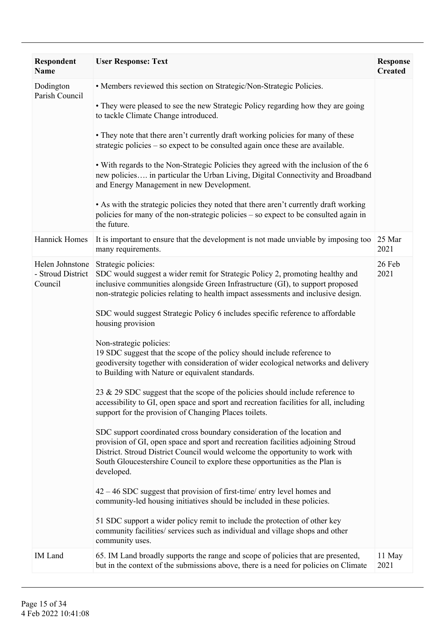| Respondent<br>Name                              | <b>User Response: Text</b>                                                                                                                                                                                                                                                                                                                | <b>Response</b><br><b>Created</b> |
|-------------------------------------------------|-------------------------------------------------------------------------------------------------------------------------------------------------------------------------------------------------------------------------------------------------------------------------------------------------------------------------------------------|-----------------------------------|
| Dodington<br>Parish Council                     | • Members reviewed this section on Strategic/Non-Strategic Policies.<br>• They were pleased to see the new Strategic Policy regarding how they are going                                                                                                                                                                                  |                                   |
|                                                 | to tackle Climate Change introduced.                                                                                                                                                                                                                                                                                                      |                                   |
|                                                 | • They note that there aren't currently draft working policies for many of these<br>strategic policies – so expect to be consulted again once these are available.                                                                                                                                                                        |                                   |
|                                                 | • With regards to the Non-Strategic Policies they agreed with the inclusion of the 6<br>new policies in particular the Urban Living, Digital Connectivity and Broadband<br>and Energy Management in new Development.                                                                                                                      |                                   |
|                                                 | • As with the strategic policies they noted that there aren't currently draft working<br>policies for many of the non-strategic policies - so expect to be consulted again in<br>the future.                                                                                                                                              |                                   |
| <b>Hannick Homes</b>                            | It is important to ensure that the development is not made unviable by imposing too<br>many requirements.                                                                                                                                                                                                                                 | 25 Mar<br>2021                    |
| Helen Johnstone<br>- Stroud District<br>Council | Strategic policies:<br>SDC would suggest a wider remit for Strategic Policy 2, promoting healthy and<br>inclusive communities alongside Green Infrastructure (GI), to support proposed<br>non-strategic policies relating to health impact assessments and inclusive design.                                                              | 26 Feb<br>2021                    |
|                                                 | SDC would suggest Strategic Policy 6 includes specific reference to affordable<br>housing provision                                                                                                                                                                                                                                       |                                   |
|                                                 | Non-strategic policies:<br>19 SDC suggest that the scope of the policy should include reference to<br>geodiversity together with consideration of wider ecological networks and delivery<br>to Building with Nature or equivalent standards.                                                                                              |                                   |
|                                                 | 23 & 29 SDC suggest that the scope of the policies should include reference to<br>accessibility to GI, open space and sport and recreation facilities for all, including<br>support for the provision of Changing Places toilets.                                                                                                         |                                   |
|                                                 | SDC support coordinated cross boundary consideration of the location and<br>provision of GI, open space and sport and recreation facilities adjoining Stroud<br>District. Stroud District Council would welcome the opportunity to work with<br>South Gloucestershire Council to explore these opportunities as the Plan is<br>developed. |                                   |
|                                                 | $42 - 46$ SDC suggest that provision of first-time/entry level homes and<br>community-led housing initiatives should be included in these policies.                                                                                                                                                                                       |                                   |
|                                                 | 51 SDC support a wider policy remit to include the protection of other key<br>community facilities/ services such as individual and village shops and other<br>community uses.                                                                                                                                                            |                                   |
| IM Land                                         | 65. IM Land broadly supports the range and scope of policies that are presented,<br>but in the context of the submissions above, there is a need for policies on Climate                                                                                                                                                                  | 11 May<br>2021                    |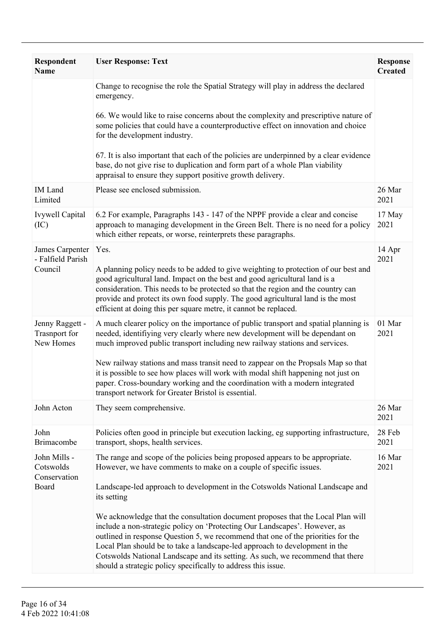| <b>Respondent</b><br><b>Name</b>                     | <b>User Response: Text</b>                                                                                                                                                                                                                                                                                                                                                                                                                                                          | <b>Response</b><br><b>Created</b> |
|------------------------------------------------------|-------------------------------------------------------------------------------------------------------------------------------------------------------------------------------------------------------------------------------------------------------------------------------------------------------------------------------------------------------------------------------------------------------------------------------------------------------------------------------------|-----------------------------------|
|                                                      | Change to recognise the role the Spatial Strategy will play in address the declared<br>emergency.                                                                                                                                                                                                                                                                                                                                                                                   |                                   |
|                                                      | 66. We would like to raise concerns about the complexity and prescriptive nature of<br>some policies that could have a counterproductive effect on innovation and choice<br>for the development industry.                                                                                                                                                                                                                                                                           |                                   |
|                                                      | 67. It is also important that each of the policies are underpinned by a clear evidence<br>base, do not give rise to duplication and form part of a whole Plan viability<br>appraisal to ensure they support positive growth delivery.                                                                                                                                                                                                                                               |                                   |
| <b>IM</b> Land<br>Limited                            | Please see enclosed submission.                                                                                                                                                                                                                                                                                                                                                                                                                                                     | 26 Mar<br>2021                    |
| Ivywell Capital<br>(IC)                              | 6.2 For example, Paragraphs 143 - 147 of the NPPF provide a clear and concise<br>approach to managing development in the Green Belt. There is no need for a policy<br>which either repeats, or worse, reinterprets these paragraphs.                                                                                                                                                                                                                                                | 17 May<br>2021                    |
| James Carpenter<br>- Falfield Parish                 | Yes.                                                                                                                                                                                                                                                                                                                                                                                                                                                                                | 14 Apr<br>2021                    |
| Council                                              | A planning policy needs to be added to give weighting to protection of our best and<br>good agricultural land. Impact on the best and good agricultural land is a<br>consideration. This needs to be protected so that the region and the country can<br>provide and protect its own food supply. The good agricultural land is the most<br>efficient at doing this per square metre, it cannot be replaced.                                                                        |                                   |
| Jenny Raggett -<br><b>Trasnport</b> for<br>New Homes | A much clearer policy on the importance of public transport and spatial planning is<br>needed, identifiying very clearly where new development will be dependant on<br>much improved public transport including new railway stations and services.                                                                                                                                                                                                                                  | 01 Mar<br>2021                    |
|                                                      | New railway stations and mass transit need to zappear on the Propsals Map so that<br>it is possible to see how places will work with modal shift happening not just on<br>paper. Cross-boundary working and the coordination with a modern integrated<br>transport network for Greater Bristol is essential.                                                                                                                                                                        |                                   |
| John Acton                                           | They seem comprehensive.                                                                                                                                                                                                                                                                                                                                                                                                                                                            | 26 Mar<br>2021                    |
| John<br>Brimacombe                                   | Policies often good in principle but execution lacking, eg supporting infrastructure,<br>transport, shops, health services.                                                                                                                                                                                                                                                                                                                                                         | 28 Feb<br>2021                    |
| John Mills -<br>Cotswolds<br>Conservation            | The range and scope of the policies being proposed appears to be appropriate.<br>However, we have comments to make on a couple of specific issues.                                                                                                                                                                                                                                                                                                                                  | 16 Mar<br>2021                    |
| Board                                                | Landscape-led approach to development in the Cotswolds National Landscape and<br>its setting                                                                                                                                                                                                                                                                                                                                                                                        |                                   |
|                                                      | We acknowledge that the consultation document proposes that the Local Plan will<br>include a non-strategic policy on 'Protecting Our Landscapes'. However, as<br>outlined in response Question 5, we recommend that one of the priorities for the<br>Local Plan should be to take a landscape-led approach to development in the<br>Cotswolds National Landscape and its setting. As such, we recommend that there<br>should a strategic policy specifically to address this issue. |                                   |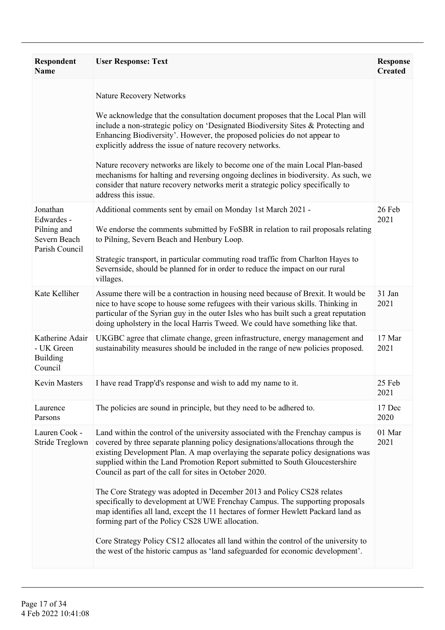| <b>Respondent</b><br><b>Name</b>                                        | <b>User Response: Text</b>                                                                                                                                                                                                                                                                                                                                                                                                                                                                                                                                                                                                                                                                                                                                                                                                                                                    | <b>Response</b><br><b>Created</b> |
|-------------------------------------------------------------------------|-------------------------------------------------------------------------------------------------------------------------------------------------------------------------------------------------------------------------------------------------------------------------------------------------------------------------------------------------------------------------------------------------------------------------------------------------------------------------------------------------------------------------------------------------------------------------------------------------------------------------------------------------------------------------------------------------------------------------------------------------------------------------------------------------------------------------------------------------------------------------------|-----------------------------------|
|                                                                         | <b>Nature Recovery Networks</b><br>We acknowledge that the consultation document proposes that the Local Plan will<br>include a non-strategic policy on 'Designated Biodiversity Sites $&$ Protecting and<br>Enhancing Biodiversity'. However, the proposed policies do not appear to<br>explicitly address the issue of nature recovery networks.<br>Nature recovery networks are likely to become one of the main Local Plan-based<br>mechanisms for halting and reversing ongoing declines in biodiversity. As such, we<br>consider that nature recovery networks merit a strategic policy specifically to<br>address this issue.                                                                                                                                                                                                                                          |                                   |
| Jonathan<br>Edwardes -<br>Pilning and<br>Severn Beach<br>Parish Council | Additional comments sent by email on Monday 1st March 2021 -<br>We endorse the comments submitted by FoSBR in relation to rail proposals relating<br>to Pilning, Severn Beach and Henbury Loop.<br>Strategic transport, in particular commuting road traffic from Charlton Hayes to<br>Severnside, should be planned for in order to reduce the impact on our rural<br>villages.                                                                                                                                                                                                                                                                                                                                                                                                                                                                                              | 26 Feb<br>2021                    |
| Kate Kelliher                                                           | Assume there will be a contraction in housing need because of Brexit. It would be<br>nice to have scope to house some refugees with their various skills. Thinking in<br>particular of the Syrian guy in the outer Isles who has built such a great reputation<br>doing upholstery in the local Harris Tweed. We could have something like that.                                                                                                                                                                                                                                                                                                                                                                                                                                                                                                                              | 31 Jan<br>2021                    |
| Katherine Adair<br>- UK Green<br><b>Building</b><br>Council             | UKGBC agree that climate change, green infrastructure, energy management and<br>sustainability measures should be included in the range of new policies proposed.                                                                                                                                                                                                                                                                                                                                                                                                                                                                                                                                                                                                                                                                                                             | 17 Mar<br>2021                    |
| <b>Kevin Masters</b>                                                    | I have read Trapp'd's response and wish to add my name to it.                                                                                                                                                                                                                                                                                                                                                                                                                                                                                                                                                                                                                                                                                                                                                                                                                 | 25 Feb<br>2021                    |
| Laurence<br>Parsons                                                     | The policies are sound in principle, but they need to be adhered to.                                                                                                                                                                                                                                                                                                                                                                                                                                                                                                                                                                                                                                                                                                                                                                                                          | 17 Dec<br>2020                    |
| Lauren Cook -<br>Stride Treglown                                        | Land within the control of the university associated with the Frenchay campus is<br>covered by three separate planning policy designations/allocations through the<br>existing Development Plan. A map overlaying the separate policy designations was<br>supplied within the Land Promotion Report submitted to South Gloucestershire<br>Council as part of the call for sites in October 2020.<br>The Core Strategy was adopted in December 2013 and Policy CS28 relates<br>specifically to development at UWE Frenchay Campus. The supporting proposals<br>map identifies all land, except the 11 hectares of former Hewlett Packard land as<br>forming part of the Policy CS28 UWE allocation.<br>Core Strategy Policy CS12 allocates all land within the control of the university to<br>the west of the historic campus as 'land safeguarded for economic development'. | 01 Mar<br>2021                    |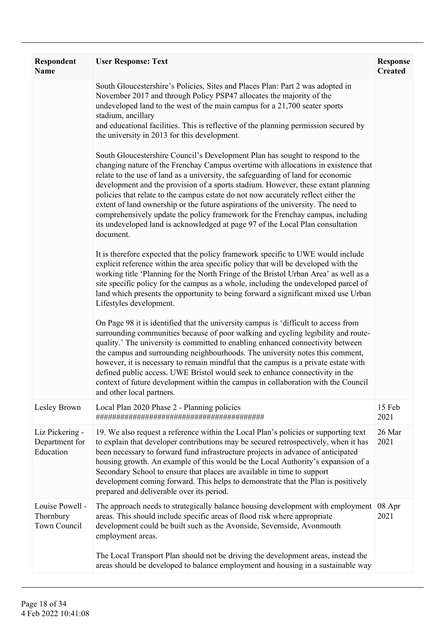| <b>Respondent</b><br><b>Name</b>               | <b>User Response: Text</b>                                                                                                                                                                                                                                                                                                                                                                                                                                                                                                                                                                                                                                                                               | <b>Response</b><br><b>Created</b> |
|------------------------------------------------|----------------------------------------------------------------------------------------------------------------------------------------------------------------------------------------------------------------------------------------------------------------------------------------------------------------------------------------------------------------------------------------------------------------------------------------------------------------------------------------------------------------------------------------------------------------------------------------------------------------------------------------------------------------------------------------------------------|-----------------------------------|
|                                                | South Gloucestershire's Policies, Sites and Places Plan: Part 2 was adopted in<br>November 2017 and through Policy PSP47 allocates the majority of the<br>undeveloped land to the west of the main campus for a 21,700 seater sports<br>stadium, ancillary                                                                                                                                                                                                                                                                                                                                                                                                                                               |                                   |
|                                                | and educational facilities. This is reflective of the planning permission secured by<br>the university in 2013 for this development.                                                                                                                                                                                                                                                                                                                                                                                                                                                                                                                                                                     |                                   |
|                                                | South Gloucestershire Council's Development Plan has sought to respond to the<br>changing nature of the Frenchay Campus overtime with allocations in existence that<br>relate to the use of land as a university, the safeguarding of land for economic<br>development and the provision of a sports stadium. However, these extant planning<br>policies that relate to the campus estate do not now accurately reflect either the<br>extent of land ownership or the future aspirations of the university. The need to<br>comprehensively update the policy framework for the Frenchay campus, including<br>its undeveloped land is acknowledged at page 97 of the Local Plan consultation<br>document. |                                   |
|                                                | It is therefore expected that the policy framework specific to UWE would include<br>explicit reference within the area specific policy that will be developed with the<br>working title 'Planning for the North Fringe of the Bristol Urban Area' as well as a<br>site specific policy for the campus as a whole, including the undeveloped parcel of<br>land which presents the opportunity to being forward a significant mixed use Urban<br>Lifestyles development.                                                                                                                                                                                                                                   |                                   |
|                                                | On Page 98 it is identified that the university campus is 'difficult to access from<br>surrounding communities because of poor walking and cycling legibility and route-<br>quality.' The university is committed to enabling enhanced connectivity between<br>the campus and surrounding neighbourhoods. The university notes this comment,<br>however, it is necessary to remain mindful that the campus is a private estate with<br>defined public access. UWE Bristol would seek to enhance connectivity in the<br>context of future development within the campus in collaboration with the Council<br>and other local partners.                                                                    |                                   |
| Lesley Brown                                   | Local Plan 2020 Phase 2 - Planning policies                                                                                                                                                                                                                                                                                                                                                                                                                                                                                                                                                                                                                                                              | 15 Feb<br>2021                    |
| Liz Pickering -<br>Department for<br>Education | 19. We also request a reference within the Local Plan's policies or supporting text<br>to explain that developer contributions may be secured retrospectively, when it has<br>been necessary to forward fund infrastructure projects in advance of anticipated<br>housing growth. An example of this would be the Local Authority's expansion of a<br>Secondary School to ensure that places are available in time to support<br>development coming forward. This helps to demonstrate that the Plan is positively<br>prepared and deliverable over its period.                                                                                                                                          | 26 Mar<br>2021                    |
| Louise Powell -<br>Thornbury<br>Town Council   | The approach needs to strategically balance housing development with employment<br>areas. This should include specific areas of flood risk where appropriate<br>development could be built such as the Avonside, Severnside, Avonmouth<br>employment areas.                                                                                                                                                                                                                                                                                                                                                                                                                                              | 08 Apr<br>2021                    |
|                                                | The Local Transport Plan should not be driving the development areas, instead the<br>areas should be developed to balance employment and housing in a sustainable way                                                                                                                                                                                                                                                                                                                                                                                                                                                                                                                                    |                                   |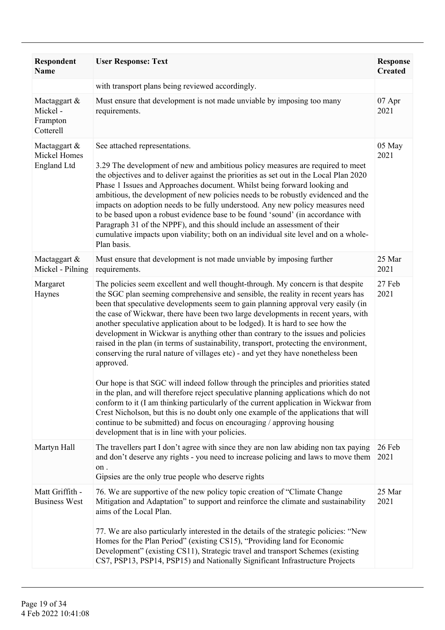| Respondent<br><b>Name</b>                        | <b>User Response: Text</b>                                                                                                                                                                                                                                                                                                                                                                                                                                                                                                                                                                                                                                                                                                                                                                                                                                                                                                                                                                                                                                                                                                                                                                                      | <b>Response</b><br><b>Created</b> |
|--------------------------------------------------|-----------------------------------------------------------------------------------------------------------------------------------------------------------------------------------------------------------------------------------------------------------------------------------------------------------------------------------------------------------------------------------------------------------------------------------------------------------------------------------------------------------------------------------------------------------------------------------------------------------------------------------------------------------------------------------------------------------------------------------------------------------------------------------------------------------------------------------------------------------------------------------------------------------------------------------------------------------------------------------------------------------------------------------------------------------------------------------------------------------------------------------------------------------------------------------------------------------------|-----------------------------------|
|                                                  | with transport plans being reviewed accordingly.                                                                                                                                                                                                                                                                                                                                                                                                                                                                                                                                                                                                                                                                                                                                                                                                                                                                                                                                                                                                                                                                                                                                                                |                                   |
| Mactaggart &<br>Mickel-<br>Frampton<br>Cotterell | Must ensure that development is not made unviable by imposing too many<br>requirements.                                                                                                                                                                                                                                                                                                                                                                                                                                                                                                                                                                                                                                                                                                                                                                                                                                                                                                                                                                                                                                                                                                                         | 07 Apr<br>2021                    |
| Mactaggart $\&$<br>Mickel Homes<br>England Ltd   | See attached representations.<br>3.29 The development of new and ambitious policy measures are required to meet<br>the objectives and to deliver against the priorities as set out in the Local Plan 2020<br>Phase 1 Issues and Approaches document. Whilst being forward looking and<br>ambitious, the development of new policies needs to be robustly evidenced and the<br>impacts on adoption needs to be fully understood. Any new policy measures need<br>to be based upon a robust evidence base to be found 'sound' (in accordance with<br>Paragraph 31 of the NPPF), and this should include an assessment of their<br>cumulative impacts upon viability; both on an individual site level and on a whole-<br>Plan basis.                                                                                                                                                                                                                                                                                                                                                                                                                                                                              | 05 May<br>2021                    |
| Mactaggart &<br>Mickel - Pilning                 | Must ensure that development is not made unviable by imposing further<br>requirements.                                                                                                                                                                                                                                                                                                                                                                                                                                                                                                                                                                                                                                                                                                                                                                                                                                                                                                                                                                                                                                                                                                                          | 25 Mar<br>2021                    |
| Margaret<br>Haynes                               | The policies seem excellent and well thought-through. My concern is that despite<br>the SGC plan seeming comprehensive and sensible, the reality in recent years has<br>been that speculative developments seem to gain planning approval very easily (in<br>the case of Wickwar, there have been two large developments in recent years, with<br>another speculative application about to be lodged). It is hard to see how the<br>development in Wickwar is anything other than contrary to the issues and policies<br>raised in the plan (in terms of sustainability, transport, protecting the environment,<br>conserving the rural nature of villages etc) - and yet they have nonetheless been<br>approved.<br>Our hope is that SGC will indeed follow through the principles and priorities stated<br>in the plan, and will therefore reject speculative planning applications which do not<br>conform to it (I am thinking particularly of the current application in Wickwar from<br>Crest Nicholson, but this is no doubt only one example of the applications that will<br>continue to be submitted) and focus on encouraging / approving housing<br>development that is in line with your policies. | 27 Feb<br>2021                    |
| Martyn Hall                                      | The travellers part I don't agree with since they are non law abiding non tax paying<br>and don't deserve any rights - you need to increase policing and laws to move them<br>on .<br>Gipsies are the only true people who deserve rights                                                                                                                                                                                                                                                                                                                                                                                                                                                                                                                                                                                                                                                                                                                                                                                                                                                                                                                                                                       | 26 Feb<br>2021                    |
| Matt Griffith -<br><b>Business West</b>          | 76. We are supportive of the new policy topic creation of "Climate Change"<br>Mitigation and Adaptation" to support and reinforce the climate and sustainability<br>aims of the Local Plan.<br>77. We are also particularly interested in the details of the strategic policies: "New<br>Homes for the Plan Period" (existing CS15), "Providing land for Economic<br>Development" (existing CS11), Strategic travel and transport Schemes (existing<br>CS7, PSP13, PSP14, PSP15) and Nationally Significant Infrastructure Projects                                                                                                                                                                                                                                                                                                                                                                                                                                                                                                                                                                                                                                                                             | 25 Mar<br>2021                    |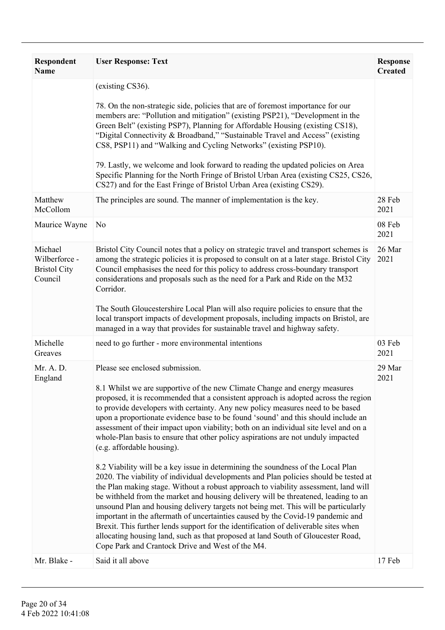| <b>Respondent</b><br><b>Name</b>                           | <b>User Response: Text</b>                                                                                                                                                                                                                                                                                                                                                                                                                                                                                                                                                                                                                                                                                                                                                                                                                                                                                                                                                                                                                                                                                                                                                                                                                                                                                                                             | <b>Response</b><br><b>Created</b> |
|------------------------------------------------------------|--------------------------------------------------------------------------------------------------------------------------------------------------------------------------------------------------------------------------------------------------------------------------------------------------------------------------------------------------------------------------------------------------------------------------------------------------------------------------------------------------------------------------------------------------------------------------------------------------------------------------------------------------------------------------------------------------------------------------------------------------------------------------------------------------------------------------------------------------------------------------------------------------------------------------------------------------------------------------------------------------------------------------------------------------------------------------------------------------------------------------------------------------------------------------------------------------------------------------------------------------------------------------------------------------------------------------------------------------------|-----------------------------------|
|                                                            | (existing CS36).<br>78. On the non-strategic side, policies that are of foremost importance for our<br>members are: "Pollution and mitigation" (existing PSP21), "Development in the<br>Green Belt" (existing PSP7), Planning for Affordable Housing (existing CS18),<br>"Digital Connectivity & Broadband," "Sustainable Travel and Access" (existing<br>CS8, PSP11) and "Walking and Cycling Networks" (existing PSP10).<br>79. Lastly, we welcome and look forward to reading the updated policies on Area<br>Specific Planning for the North Fringe of Bristol Urban Area (existing CS25, CS26,<br>CS27) and for the East Fringe of Bristol Urban Area (existing CS29).                                                                                                                                                                                                                                                                                                                                                                                                                                                                                                                                                                                                                                                                            |                                   |
| Matthew<br>McCollom                                        | The principles are sound. The manner of implementation is the key.                                                                                                                                                                                                                                                                                                                                                                                                                                                                                                                                                                                                                                                                                                                                                                                                                                                                                                                                                                                                                                                                                                                                                                                                                                                                                     | 28 Feb<br>2021                    |
| Maurice Wayne                                              | N <sub>0</sub>                                                                                                                                                                                                                                                                                                                                                                                                                                                                                                                                                                                                                                                                                                                                                                                                                                                                                                                                                                                                                                                                                                                                                                                                                                                                                                                                         | 08 Feb<br>2021                    |
| Michael<br>Wilberforce -<br><b>Bristol City</b><br>Council | Bristol City Council notes that a policy on strategic travel and transport schemes is<br>among the strategic policies it is proposed to consult on at a later stage. Bristol City<br>Council emphasises the need for this policy to address cross-boundary transport<br>considerations and proposals such as the need for a Park and Ride on the M32<br>Corridor.<br>The South Gloucestershire Local Plan will also require policies to ensure that the<br>local transport impacts of development proposals, including impacts on Bristol, are<br>managed in a way that provides for sustainable travel and highway safety.                                                                                                                                                                                                                                                                                                                                                                                                                                                                                                                                                                                                                                                                                                                            | 26 Mar<br>2021                    |
| Michelle<br>Greaves                                        | need to go further - more environmental intentions                                                                                                                                                                                                                                                                                                                                                                                                                                                                                                                                                                                                                                                                                                                                                                                                                                                                                                                                                                                                                                                                                                                                                                                                                                                                                                     | 03 Feb<br>2021                    |
| Mr. A. D.<br>England                                       | Please see enclosed submission.<br>8.1 Whilst we are supportive of the new Climate Change and energy measures<br>proposed, it is recommended that a consistent approach is adopted across the region<br>to provide developers with certainty. Any new policy measures need to be based<br>upon a proportionate evidence base to be found 'sound' and this should include an<br>assessment of their impact upon viability; both on an individual site level and on a<br>whole-Plan basis to ensure that other policy aspirations are not unduly impacted<br>(e.g. affordable housing).<br>8.2 Viability will be a key issue in determining the soundness of the Local Plan<br>2020. The viability of individual developments and Plan policies should be tested at<br>the Plan making stage. Without a robust approach to viability assessment, land will<br>be withheld from the market and housing delivery will be threatened, leading to an<br>unsound Plan and housing delivery targets not being met. This will be particularly<br>important in the aftermath of uncertainties caused by the Covid-19 pandemic and<br>Brexit. This further lends support for the identification of deliverable sites when<br>allocating housing land, such as that proposed at land South of Gloucester Road,<br>Cope Park and Crantock Drive and West of the M4. | 29 Mar<br>2021                    |
| Mr. Blake -                                                | Said it all above                                                                                                                                                                                                                                                                                                                                                                                                                                                                                                                                                                                                                                                                                                                                                                                                                                                                                                                                                                                                                                                                                                                                                                                                                                                                                                                                      | 17 Feb                            |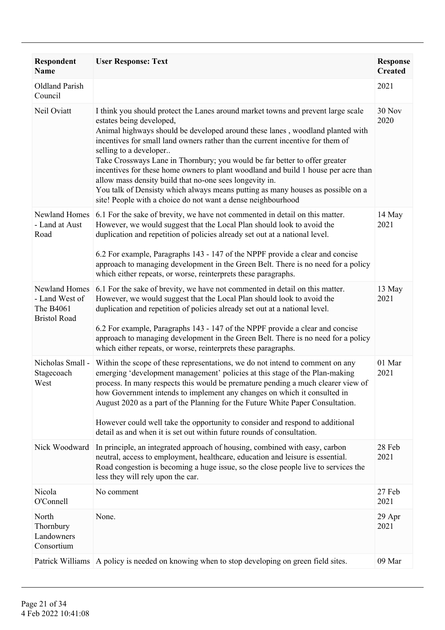| Respondent<br><b>Name</b>                                           | <b>User Response: Text</b>                                                                                                                                                                                                                                                                                                                                                                                                                                                                                                                                                                                                                                                                  | <b>Response</b><br><b>Created</b> |
|---------------------------------------------------------------------|---------------------------------------------------------------------------------------------------------------------------------------------------------------------------------------------------------------------------------------------------------------------------------------------------------------------------------------------------------------------------------------------------------------------------------------------------------------------------------------------------------------------------------------------------------------------------------------------------------------------------------------------------------------------------------------------|-----------------------------------|
| Oldland Parish<br>Council                                           |                                                                                                                                                                                                                                                                                                                                                                                                                                                                                                                                                                                                                                                                                             | 2021                              |
| Neil Oviatt                                                         | I think you should protect the Lanes around market towns and prevent large scale<br>estates being developed,<br>Animal highways should be developed around these lanes, woodland planted with<br>incentives for small land owners rather than the current incentive for them of<br>selling to a developer<br>Take Crossways Lane in Thornbury; you would be far better to offer greater<br>incentives for these home owners to plant woodland and build 1 house per acre than<br>allow mass density build that no-one sees longevity in.<br>You talk of Densisty which always means putting as many houses as possible on a<br>site! People with a choice do not want a dense neighbourhood | 30 Nov<br>2020                    |
| Newland Homes<br>- Land at Aust<br>Road                             | 6.1 For the sake of brevity, we have not commented in detail on this matter.<br>However, we would suggest that the Local Plan should look to avoid the<br>duplication and repetition of policies already set out at a national level.<br>6.2 For example, Paragraphs 143 - 147 of the NPPF provide a clear and concise<br>approach to managing development in the Green Belt. There is no need for a policy<br>which either repeats, or worse, reinterprets these paragraphs.                                                                                                                                                                                                               | 14 May<br>2021                    |
| Newland Homes<br>- Land West of<br>The B4061<br><b>Bristol Road</b> | 6.1 For the sake of brevity, we have not commented in detail on this matter.<br>However, we would suggest that the Local Plan should look to avoid the<br>duplication and repetition of policies already set out at a national level.<br>6.2 For example, Paragraphs 143 - 147 of the NPPF provide a clear and concise<br>approach to managing development in the Green Belt. There is no need for a policy<br>which either repeats, or worse, reinterprets these paragraphs.                                                                                                                                                                                                               | 13 May<br>2021                    |
| Nicholas Small -<br>Stagecoach<br>West                              | Within the scope of these representations, we do not intend to comment on any<br>emerging 'development management' policies at this stage of the Plan-making<br>process. In many respects this would be premature pending a much clearer view of<br>how Government intends to implement any changes on which it consulted in<br>August 2020 as a part of the Planning for the Future White Paper Consultation.<br>However could well take the opportunity to consider and respond to additional<br>detail as and when it is set out within future rounds of consultation.                                                                                                                   | 01 Mar<br>2021                    |
| Nick Woodward                                                       | In principle, an integrated approach of housing, combined with easy, carbon<br>neutral, access to employment, healthcare, education and leisure is essential.<br>Road congestion is becoming a huge issue, so the close people live to services the<br>less they will rely upon the car.                                                                                                                                                                                                                                                                                                                                                                                                    | 28 Feb<br>2021                    |
| Nicola<br>O'Connell                                                 | No comment                                                                                                                                                                                                                                                                                                                                                                                                                                                                                                                                                                                                                                                                                  | 27 Feb<br>2021                    |
| North<br>Thornbury<br>Landowners<br>Consortium                      | None.                                                                                                                                                                                                                                                                                                                                                                                                                                                                                                                                                                                                                                                                                       | 29 Apr<br>2021                    |
|                                                                     | Patrick Williams   A policy is needed on knowing when to stop developing on green field sites.                                                                                                                                                                                                                                                                                                                                                                                                                                                                                                                                                                                              | 09 Mar                            |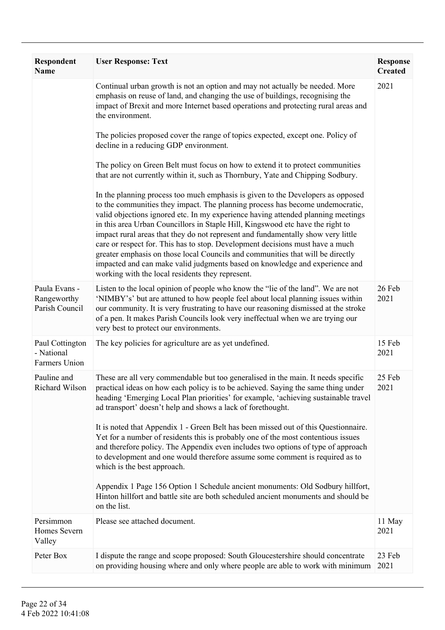| <b>Respondent</b><br><b>Name</b>               | <b>User Response: Text</b>                                                                                                                                                                                                                                                                                                                                                                                                                                                                                                                                                                                                                                                                                                                                                                                                                                                                          | <b>Response</b><br><b>Created</b> |
|------------------------------------------------|-----------------------------------------------------------------------------------------------------------------------------------------------------------------------------------------------------------------------------------------------------------------------------------------------------------------------------------------------------------------------------------------------------------------------------------------------------------------------------------------------------------------------------------------------------------------------------------------------------------------------------------------------------------------------------------------------------------------------------------------------------------------------------------------------------------------------------------------------------------------------------------------------------|-----------------------------------|
|                                                | Continual urban growth is not an option and may not actually be needed. More<br>emphasis on reuse of land, and changing the use of buildings, recognising the<br>impact of Brexit and more Internet based operations and protecting rural areas and<br>the environment.                                                                                                                                                                                                                                                                                                                                                                                                                                                                                                                                                                                                                             | 2021                              |
|                                                | The policies proposed cover the range of topics expected, except one. Policy of<br>decline in a reducing GDP environment.                                                                                                                                                                                                                                                                                                                                                                                                                                                                                                                                                                                                                                                                                                                                                                           |                                   |
|                                                | The policy on Green Belt must focus on how to extend it to protect communities<br>that are not currently within it, such as Thornbury, Yate and Chipping Sodbury.                                                                                                                                                                                                                                                                                                                                                                                                                                                                                                                                                                                                                                                                                                                                   |                                   |
|                                                | In the planning process too much emphasis is given to the Developers as opposed<br>to the communities they impact. The planning process has become undemocratic,<br>valid objections ignored etc. In my experience having attended planning meetings<br>in this area Urban Councillors in Staple Hill, Kingswood etc have the right to<br>impact rural areas that they do not represent and fundamentally show very little<br>care or respect for. This has to stop. Development decisions must have a much<br>greater emphasis on those local Councils and communities that will be directly<br>impacted and can make valid judgments based on knowledge and experience and<br>working with the local residents they represent.                                                                                                                                                                    |                                   |
| Paula Evans -<br>Rangeworthy<br>Parish Council | Listen to the local opinion of people who know the "lie of the land". We are not<br>'NIMBY's' but are attuned to how people feel about local planning issues within<br>our community. It is very frustrating to have our reasoning dismissed at the stroke<br>of a pen. It makes Parish Councils look very ineffectual when we are trying our<br>very best to protect our environments.                                                                                                                                                                                                                                                                                                                                                                                                                                                                                                             | 26 Feb<br>2021                    |
| Paul Cottington<br>- National<br>Farmers Union | The key policies for agriculture are as yet undefined.                                                                                                                                                                                                                                                                                                                                                                                                                                                                                                                                                                                                                                                                                                                                                                                                                                              | 15 Feb<br>2021                    |
| Pauline and<br>Richard Wilson                  | These are all very commendable but too generalised in the main. It needs specific<br>practical ideas on how each policy is to be achieved. Saying the same thing under<br>heading 'Emerging Local Plan priorities' for example, 'achieving sustainable travel<br>ad transport' doesn't help and shows a lack of forethought.<br>It is noted that Appendix 1 - Green Belt has been missed out of this Questionnaire.<br>Yet for a number of residents this is probably one of the most contentious issues<br>and therefore policy. The Appendix even includes two options of type of approach<br>to development and one would therefore assume some comment is required as to<br>which is the best approach.<br>Appendix 1 Page 156 Option 1 Schedule ancient monuments: Old Sodbury hillfort,<br>Hinton hillfort and battle site are both scheduled ancient monuments and should be<br>on the list. | 25 Feb<br>2021                    |
| Persimmon<br>Homes Severn<br>Valley            | Please see attached document.                                                                                                                                                                                                                                                                                                                                                                                                                                                                                                                                                                                                                                                                                                                                                                                                                                                                       | 11 May<br>2021                    |
| Peter Box                                      | I dispute the range and scope proposed: South Gloucestershire should concentrate<br>on providing housing where and only where people are able to work with minimum                                                                                                                                                                                                                                                                                                                                                                                                                                                                                                                                                                                                                                                                                                                                  | 23 Feb<br>2021                    |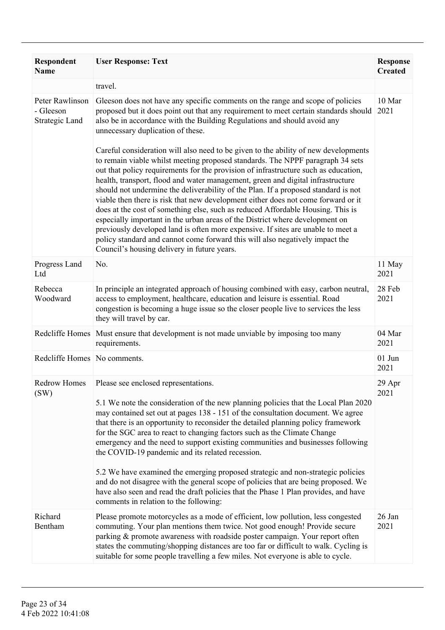| <b>Respondent</b><br><b>Name</b>               | <b>User Response: Text</b>                                                                                                                                                                                                                                                                                                                                                                                                                                                                                                                                                                                                                                                                                                                                                                                                | <b>Response</b><br><b>Created</b> |
|------------------------------------------------|---------------------------------------------------------------------------------------------------------------------------------------------------------------------------------------------------------------------------------------------------------------------------------------------------------------------------------------------------------------------------------------------------------------------------------------------------------------------------------------------------------------------------------------------------------------------------------------------------------------------------------------------------------------------------------------------------------------------------------------------------------------------------------------------------------------------------|-----------------------------------|
|                                                | travel.                                                                                                                                                                                                                                                                                                                                                                                                                                                                                                                                                                                                                                                                                                                                                                                                                   |                                   |
| Peter Rawlinson<br>- Gleeson<br>Strategic Land | Gleeson does not have any specific comments on the range and scope of policies<br>proposed but it does point out that any requirement to meet certain standards should<br>also be in accordance with the Building Regulations and should avoid any<br>unnecessary duplication of these.<br>Careful consideration will also need to be given to the ability of new developments                                                                                                                                                                                                                                                                                                                                                                                                                                            | 10 Mar<br>2021                    |
|                                                | to remain viable whilst meeting proposed standards. The NPPF paragraph 34 sets<br>out that policy requirements for the provision of infrastructure such as education,<br>health, transport, flood and water management, green and digital infrastructure<br>should not undermine the deliverability of the Plan. If a proposed standard is not<br>viable then there is risk that new development either does not come forward or it<br>does at the cost of something else, such as reduced Affordable Housing. This is<br>especially important in the urban areas of the District where development on<br>previously developed land is often more expensive. If sites are unable to meet a<br>policy standard and cannot come forward this will also negatively impact the<br>Council's housing delivery in future years. |                                   |
| Progress Land<br>Ltd                           | No.                                                                                                                                                                                                                                                                                                                                                                                                                                                                                                                                                                                                                                                                                                                                                                                                                       | 11 May<br>2021                    |
| Rebecca<br>Woodward                            | In principle an integrated approach of housing combined with easy, carbon neutral,<br>access to employment, healthcare, education and leisure is essential. Road<br>congestion is becoming a huge issue so the closer people live to services the less<br>they will travel by car.                                                                                                                                                                                                                                                                                                                                                                                                                                                                                                                                        | 28 Feb<br>2021                    |
| Redcliffe Homes                                | Must ensure that development is not made unviable by imposing too many<br>requirements.                                                                                                                                                                                                                                                                                                                                                                                                                                                                                                                                                                                                                                                                                                                                   | 04 Mar<br>2021                    |
| Redcliffe Homes No comments.                   |                                                                                                                                                                                                                                                                                                                                                                                                                                                                                                                                                                                                                                                                                                                                                                                                                           | $01$ Jun<br>2021                  |
| <b>Redrow Homes</b><br>(SW)                    | Please see enclosed representations.                                                                                                                                                                                                                                                                                                                                                                                                                                                                                                                                                                                                                                                                                                                                                                                      | 29 Apr<br>2021                    |
|                                                | 5.1 We note the consideration of the new planning policies that the Local Plan 2020<br>may contained set out at pages 138 - 151 of the consultation document. We agree<br>that there is an opportunity to reconsider the detailed planning policy framework<br>for the SGC area to react to changing factors such as the Climate Change<br>emergency and the need to support existing communities and businesses following<br>the COVID-19 pandemic and its related recession.                                                                                                                                                                                                                                                                                                                                            |                                   |
|                                                | 5.2 We have examined the emerging proposed strategic and non-strategic policies<br>and do not disagree with the general scope of policies that are being proposed. We<br>have also seen and read the draft policies that the Phase 1 Plan provides, and have<br>comments in relation to the following:                                                                                                                                                                                                                                                                                                                                                                                                                                                                                                                    |                                   |
| Richard<br>Bentham                             | Please promote motorcycles as a mode of efficient, low pollution, less congested<br>commuting. Your plan mentions them twice. Not good enough! Provide secure<br>parking & promote awareness with roadside poster campaign. Your report often<br>states the commuting/shopping distances are too far or difficult to walk. Cycling is<br>suitable for some people travelling a few miles. Not everyone is able to cycle.                                                                                                                                                                                                                                                                                                                                                                                                  | 26 Jan<br>2021                    |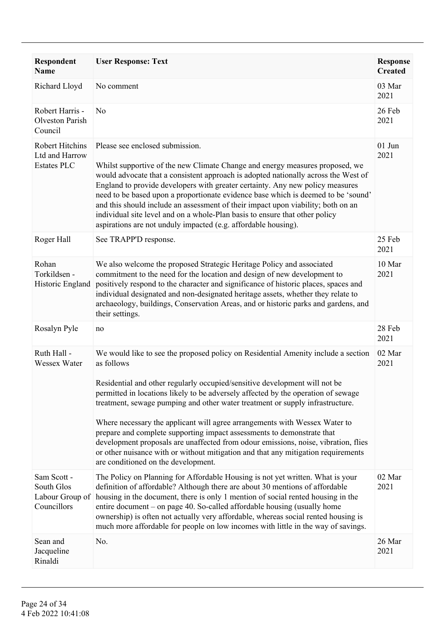| <b>Respondent</b><br><b>Name</b>                               | <b>User Response: Text</b>                                                                                                                                                                                                                                                                                                                                                                                                                                                                                                                                                                                                                                                                                                    | <b>Response</b><br><b>Created</b> |
|----------------------------------------------------------------|-------------------------------------------------------------------------------------------------------------------------------------------------------------------------------------------------------------------------------------------------------------------------------------------------------------------------------------------------------------------------------------------------------------------------------------------------------------------------------------------------------------------------------------------------------------------------------------------------------------------------------------------------------------------------------------------------------------------------------|-----------------------------------|
| Richard Lloyd                                                  | No comment                                                                                                                                                                                                                                                                                                                                                                                                                                                                                                                                                                                                                                                                                                                    | 03 Mar<br>2021                    |
| Robert Harris -<br><b>Olveston Parish</b><br>Council           | N <sub>o</sub>                                                                                                                                                                                                                                                                                                                                                                                                                                                                                                                                                                                                                                                                                                                | 26 Feb<br>2021                    |
| <b>Robert Hitchins</b><br>Ltd and Harrow<br><b>Estates PLC</b> | Please see enclosed submission.<br>Whilst supportive of the new Climate Change and energy measures proposed, we<br>would advocate that a consistent approach is adopted nationally across the West of<br>England to provide developers with greater certainty. Any new policy measures<br>need to be based upon a proportionate evidence base which is deemed to be 'sound'<br>and this should include an assessment of their impact upon viability; both on an<br>individual site level and on a whole-Plan basis to ensure that other policy<br>aspirations are not unduly impacted (e.g. affordable housing).                                                                                                              | $01$ Jun<br>2021                  |
| Roger Hall                                                     | See TRAPP'D response.                                                                                                                                                                                                                                                                                                                                                                                                                                                                                                                                                                                                                                                                                                         | 25 Feb<br>2021                    |
| Rohan<br>Torkildsen -<br>Historic England                      | We also welcome the proposed Strategic Heritage Policy and associated<br>commitment to the need for the location and design of new development to<br>positively respond to the character and significance of historic places, spaces and<br>individual designated and non-designated heritage assets, whether they relate to<br>archaeology, buildings, Conservation Areas, and or historic parks and gardens, and<br>their settings.                                                                                                                                                                                                                                                                                         | 10 Mar<br>2021                    |
| Rosalyn Pyle                                                   | no                                                                                                                                                                                                                                                                                                                                                                                                                                                                                                                                                                                                                                                                                                                            | 28 Feb<br>2021                    |
| Ruth Hall -<br>Wessex Water                                    | We would like to see the proposed policy on Residential Amenity include a section<br>as follows<br>Residential and other regularly occupied/sensitive development will not be<br>permitted in locations likely to be adversely affected by the operation of sewage<br>treatment, sewage pumping and other water treatment or supply infrastructure.<br>Where necessary the applicant will agree arrangements with Wessex Water to<br>prepare and complete supporting impact assessments to demonstrate that<br>development proposals are unaffected from odour emissions, noise, vibration, flies<br>or other nuisance with or without mitigation and that any mitigation requirements<br>are conditioned on the development. | 02 Mar<br>2021                    |
| Sam Scott -<br>South Glos<br>Labour Group of<br>Councillors    | The Policy on Planning for Affordable Housing is not yet written. What is your<br>definition of affordable? Although there are about 30 mentions of affordable<br>housing in the document, there is only 1 mention of social rented housing in the<br>entire document – on page 40. So-called affordable housing (usually home<br>ownership) is often not actually very affordable, whereas social rented housing is<br>much more affordable for people on low incomes with little in the way of savings.                                                                                                                                                                                                                     | 02 Mar<br>2021                    |
| Sean and<br>Jacqueline<br>Rinaldi                              | No.                                                                                                                                                                                                                                                                                                                                                                                                                                                                                                                                                                                                                                                                                                                           | 26 Mar<br>2021                    |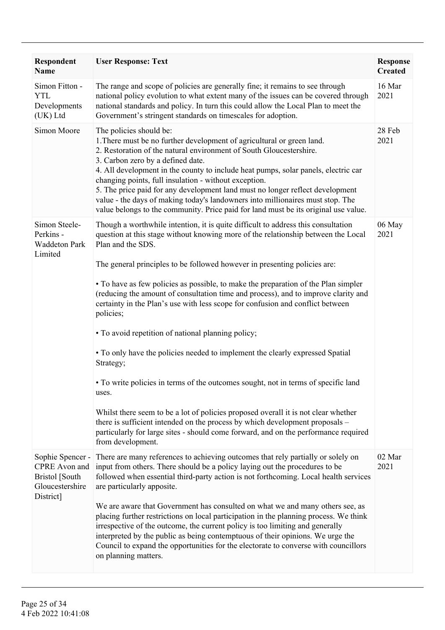| Respondent<br><b>Name</b>                                                           | <b>User Response: Text</b>                                                                                                                                                                                                                                                                                                                                                                                                                                                                                                                                                                                                                                                                                                                                                                                                                                                                                                                                                                                                                                                               | <b>Response</b><br><b>Created</b> |
|-------------------------------------------------------------------------------------|------------------------------------------------------------------------------------------------------------------------------------------------------------------------------------------------------------------------------------------------------------------------------------------------------------------------------------------------------------------------------------------------------------------------------------------------------------------------------------------------------------------------------------------------------------------------------------------------------------------------------------------------------------------------------------------------------------------------------------------------------------------------------------------------------------------------------------------------------------------------------------------------------------------------------------------------------------------------------------------------------------------------------------------------------------------------------------------|-----------------------------------|
| Simon Fitton -<br><b>YTL</b><br>Developments<br>(UK) Ltd                            | The range and scope of policies are generally fine; it remains to see through<br>national policy evolution to what extent many of the issues can be covered through<br>national standards and policy. In turn this could allow the Local Plan to meet the<br>Government's stringent standards on timescales for adoption.                                                                                                                                                                                                                                                                                                                                                                                                                                                                                                                                                                                                                                                                                                                                                                | 16 Mar<br>2021                    |
| Simon Moore                                                                         | The policies should be:<br>1. There must be no further development of agricultural or green land.<br>2. Restoration of the natural environment of South Gloucestershire.<br>3. Carbon zero by a defined date.<br>4. All development in the county to include heat pumps, solar panels, electric car<br>changing points, full insulation - without exception.<br>5. The price paid for any development land must no longer reflect development<br>value - the days of making today's landowners into millionaires must stop. The<br>value belongs to the community. Price paid for land must be its original use value.                                                                                                                                                                                                                                                                                                                                                                                                                                                                   | 28 Feb<br>2021                    |
| Simon Steele-<br>Perkins -<br><b>Waddeton Park</b><br>Limited                       | Though a worthwhile intention, it is quite difficult to address this consultation<br>question at this stage without knowing more of the relationship between the Local<br>Plan and the SDS.<br>The general principles to be followed however in presenting policies are:<br>• To have as few policies as possible, to make the preparation of the Plan simpler<br>(reducing the amount of consultation time and process), and to improve clarity and<br>certainty in the Plan's use with less scope for confusion and conflict between<br>policies;<br>• To avoid repetition of national planning policy;<br>• To only have the policies needed to implement the clearly expressed Spatial<br>Strategy;<br>• To write policies in terms of the outcomes sought, not in terms of specific land<br>uses.<br>Whilst there seem to be a lot of policies proposed overall it is not clear whether<br>there is sufficient intended on the process by which development proposals –<br>particularly for large sites - should come forward, and on the performance required<br>from development. | 06 May<br>2021                    |
| Sophie Spencer -<br>CPRE Avon and<br>Bristol [South<br>Gloucestershire<br>District] | There are many references to achieving outcomes that rely partially or solely on<br>input from others. There should be a policy laying out the procedures to be<br>followed when essential third-party action is not forthcoming. Local health services<br>are particularly apposite.<br>We are aware that Government has consulted on what we and many others see, as<br>placing further restrictions on local participation in the planning process. We think<br>irrespective of the outcome, the current policy is too limiting and generally<br>interpreted by the public as being contemptuous of their opinions. We urge the<br>Council to expand the opportunities for the electorate to converse with councillors<br>on planning matters.                                                                                                                                                                                                                                                                                                                                        | 02 Mar<br>2021                    |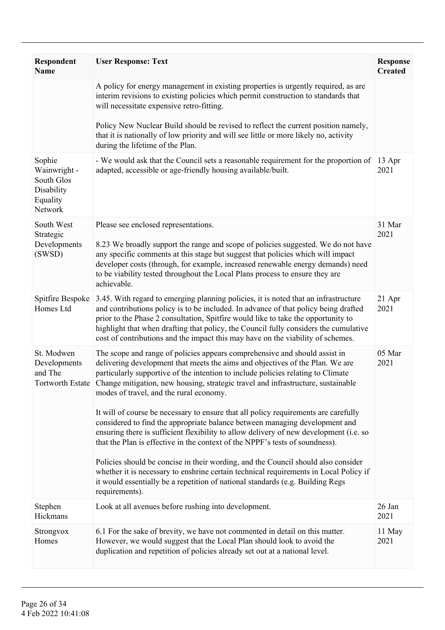| <b>Respondent</b><br><b>Name</b>                                          | <b>User Response: Text</b>                                                                                                                                                                                                                                                                                                                                                                                                                                            | <b>Response</b><br><b>Created</b> |
|---------------------------------------------------------------------------|-----------------------------------------------------------------------------------------------------------------------------------------------------------------------------------------------------------------------------------------------------------------------------------------------------------------------------------------------------------------------------------------------------------------------------------------------------------------------|-----------------------------------|
|                                                                           | A policy for energy management in existing properties is urgently required, as are<br>interim revisions to existing policies which permit construction to standards that<br>will necessitate expensive retro-fitting.                                                                                                                                                                                                                                                 |                                   |
|                                                                           | Policy New Nuclear Build should be revised to reflect the current position namely,<br>that it is nationally of low priority and will see little or more likely no, activity<br>during the lifetime of the Plan.                                                                                                                                                                                                                                                       |                                   |
| Sophie<br>Wainwright -<br>South Glos<br>Disability<br>Equality<br>Network | - We would ask that the Council sets a reasonable requirement for the proportion of<br>adapted, accessible or age-friendly housing available/built.                                                                                                                                                                                                                                                                                                                   | 13 Apr<br>2021                    |
| South West<br>Strategic<br>Developments<br>(SWSD)                         | Please see enclosed representations.<br>8.23 We broadly support the range and scope of policies suggested. We do not have<br>any specific comments at this stage but suggest that policies which will impact<br>developer costs (through, for example, increased renewable energy demands) need<br>to be viability tested throughout the Local Plans process to ensure they are<br>achievable.                                                                        | 31 Mar<br>2021                    |
| Spitfire Bespoke<br>Homes Ltd                                             | 3.45. With regard to emerging planning policies, it is noted that an infrastructure<br>and contributions policy is to be included. In advance of that policy being drafted<br>prior to the Phase 2 consultation, Spitfire would like to take the opportunity to<br>highlight that when drafting that policy, the Council fully considers the cumulative<br>cost of contributions and the impact this may have on the viability of schemes.                            | 21 Apr<br>2021                    |
| St. Modwen<br>Developments<br>and The<br>Tortworth Estate                 | The scope and range of policies appears comprehensive and should assist in<br>delivering development that meets the aims and objectives of the Plan. We are<br>particularly supportive of the intention to include policies relating to Climate<br>Change mitigation, new housing, strategic travel and infrastructure, sustainable<br>modes of travel, and the rural economy.<br>It will of course be necessary to ensure that all policy requirements are carefully | 05 Mar<br>2021                    |
|                                                                           | considered to find the appropriate balance between managing development and<br>ensuring there is sufficient flexibility to allow delivery of new development (i.e. so<br>that the Plan is effective in the context of the NPPF's tests of soundness).                                                                                                                                                                                                                 |                                   |
|                                                                           | Policies should be concise in their wording, and the Council should also consider<br>whether it is necessary to enshrine certain technical requirements in Local Policy if<br>it would essentially be a repetition of national standards (e.g. Building Regs<br>requirements).                                                                                                                                                                                        |                                   |
| Stephen<br>Hickmans                                                       | Look at all avenues before rushing into development.                                                                                                                                                                                                                                                                                                                                                                                                                  | 26 Jan<br>2021                    |
| Strongvox<br>Homes                                                        | 6.1 For the sake of brevity, we have not commented in detail on this matter.<br>However, we would suggest that the Local Plan should look to avoid the<br>duplication and repetition of policies already set out at a national level.                                                                                                                                                                                                                                 | 11 May<br>2021                    |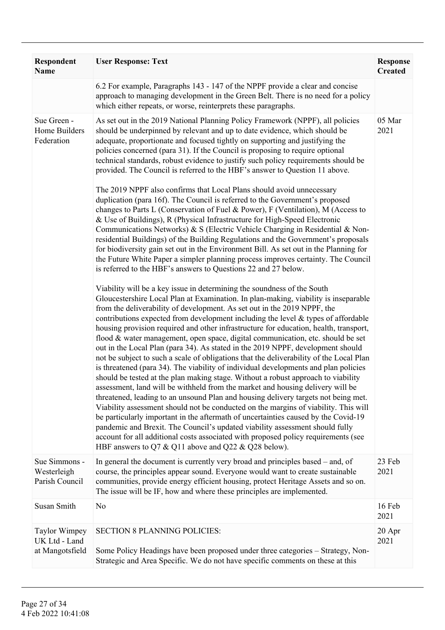| Respondent<br><b>Name</b>                                | <b>User Response: Text</b>                                                                                                                                                                                                                                                                                                                                                                                                                                                                                                                                                                                                                                                                                                                                                                                                                                                                                                                                                                                                                                                                                                                                                                                                                                                                                                                                                                                                                                 | <b>Response</b><br><b>Created</b> |
|----------------------------------------------------------|------------------------------------------------------------------------------------------------------------------------------------------------------------------------------------------------------------------------------------------------------------------------------------------------------------------------------------------------------------------------------------------------------------------------------------------------------------------------------------------------------------------------------------------------------------------------------------------------------------------------------------------------------------------------------------------------------------------------------------------------------------------------------------------------------------------------------------------------------------------------------------------------------------------------------------------------------------------------------------------------------------------------------------------------------------------------------------------------------------------------------------------------------------------------------------------------------------------------------------------------------------------------------------------------------------------------------------------------------------------------------------------------------------------------------------------------------------|-----------------------------------|
|                                                          | 6.2 For example, Paragraphs 143 - 147 of the NPPF provide a clear and concise<br>approach to managing development in the Green Belt. There is no need for a policy<br>which either repeats, or worse, reinterprets these paragraphs.                                                                                                                                                                                                                                                                                                                                                                                                                                                                                                                                                                                                                                                                                                                                                                                                                                                                                                                                                                                                                                                                                                                                                                                                                       |                                   |
| Sue Green -<br>Home Builders<br>Federation               | As set out in the 2019 National Planning Policy Framework (NPPF), all policies<br>should be underpinned by relevant and up to date evidence, which should be<br>adequate, proportionate and focused tightly on supporting and justifying the<br>policies concerned (para 31). If the Council is proposing to require optional<br>technical standards, robust evidence to justify such policy requirements should be<br>provided. The Council is referred to the HBF's answer to Question 11 above.                                                                                                                                                                                                                                                                                                                                                                                                                                                                                                                                                                                                                                                                                                                                                                                                                                                                                                                                                         | 05 Mar<br>2021                    |
|                                                          | The 2019 NPPF also confirms that Local Plans should avoid unnecessary<br>duplication (para 16f). The Council is referred to the Government's proposed<br>changes to Parts L (Conservation of Fuel & Power), F (Ventilation), M (Access to<br>& Use of Buildings), R (Physical Infrastructure for High-Speed Electronic<br>Communications Networks) & S (Electric Vehicle Charging in Residential & Non-<br>residential Buildings) of the Building Regulations and the Government's proposals<br>for biodiversity gain set out in the Environment Bill. As set out in the Planning for<br>the Future White Paper a simpler planning process improves certainty. The Council<br>is referred to the HBF's answers to Questions 22 and 27 below.                                                                                                                                                                                                                                                                                                                                                                                                                                                                                                                                                                                                                                                                                                               |                                   |
|                                                          | Viability will be a key issue in determining the soundness of the South<br>Gloucestershire Local Plan at Examination. In plan-making, viability is inseparable<br>from the deliverability of development. As set out in the 2019 NPPF, the<br>contributions expected from development including the level $\&$ types of affordable<br>housing provision required and other infrastructure for education, health, transport,<br>flood & water management, open space, digital communication, etc. should be set<br>out in the Local Plan (para 34). As stated in the 2019 NPPF, development should<br>not be subject to such a scale of obligations that the deliverability of the Local Plan<br>is threatened (para 34). The viability of individual developments and plan policies<br>should be tested at the plan making stage. Without a robust approach to viability<br>assessment, land will be withheld from the market and housing delivery will be<br>threatened, leading to an unsound Plan and housing delivery targets not being met.<br>Viability assessment should not be conducted on the margins of viability. This will<br>be particularly important in the aftermath of uncertainties caused by the Covid-19<br>pandemic and Brexit. The Council's updated viability assessment should fully<br>account for all additional costs associated with proposed policy requirements (see<br>HBF answers to Q7 & Q11 above and Q22 & Q28 below). |                                   |
| Sue Simmons -<br>Westerleigh<br>Parish Council           | In general the document is currently very broad and principles based – and, of<br>course, the principles appear sound. Everyone would want to create sustainable<br>communities, provide energy efficient housing, protect Heritage Assets and so on.<br>The issue will be IF, how and where these principles are implemented.                                                                                                                                                                                                                                                                                                                                                                                                                                                                                                                                                                                                                                                                                                                                                                                                                                                                                                                                                                                                                                                                                                                             | 23 Feb<br>2021                    |
| Susan Smith                                              | N <sub>0</sub>                                                                                                                                                                                                                                                                                                                                                                                                                                                                                                                                                                                                                                                                                                                                                                                                                                                                                                                                                                                                                                                                                                                                                                                                                                                                                                                                                                                                                                             | 16 Feb<br>2021                    |
| <b>Taylor Wimpey</b><br>UK Ltd - Land<br>at Mangotsfield | <b>SECTION 8 PLANNING POLICIES:</b><br>Some Policy Headings have been proposed under three categories - Strategy, Non-<br>Strategic and Area Specific. We do not have specific comments on these at this                                                                                                                                                                                                                                                                                                                                                                                                                                                                                                                                                                                                                                                                                                                                                                                                                                                                                                                                                                                                                                                                                                                                                                                                                                                   | 20 Apr<br>2021                    |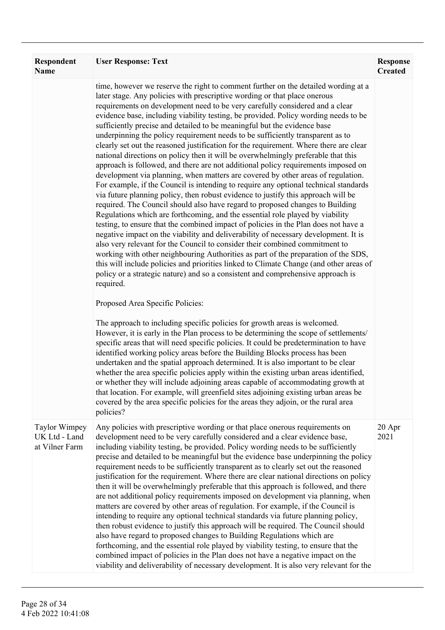| Respondent<br><b>Name</b>                               | <b>User Response: Text</b>                                                                                                                                                                                                                                                                                                                                                                                                                                                                                                                                                                                                                                                                                                                                                                                                                                                                                                                                                                                                                                                                                                                                                                                                                                                                                                                                                                                                                                                                                                                                                                                                                                                                                                                                                                                                                                               | <b>Response</b><br><b>Created</b> |
|---------------------------------------------------------|--------------------------------------------------------------------------------------------------------------------------------------------------------------------------------------------------------------------------------------------------------------------------------------------------------------------------------------------------------------------------------------------------------------------------------------------------------------------------------------------------------------------------------------------------------------------------------------------------------------------------------------------------------------------------------------------------------------------------------------------------------------------------------------------------------------------------------------------------------------------------------------------------------------------------------------------------------------------------------------------------------------------------------------------------------------------------------------------------------------------------------------------------------------------------------------------------------------------------------------------------------------------------------------------------------------------------------------------------------------------------------------------------------------------------------------------------------------------------------------------------------------------------------------------------------------------------------------------------------------------------------------------------------------------------------------------------------------------------------------------------------------------------------------------------------------------------------------------------------------------------|-----------------------------------|
|                                                         | time, however we reserve the right to comment further on the detailed wording at a<br>later stage. Any policies with prescriptive wording or that place onerous<br>requirements on development need to be very carefully considered and a clear<br>evidence base, including viability testing, be provided. Policy wording needs to be<br>sufficiently precise and detailed to be meaningful but the evidence base<br>underpinning the policy requirement needs to be sufficiently transparent as to<br>clearly set out the reasoned justification for the requirement. Where there are clear<br>national directions on policy then it will be overwhelmingly preferable that this<br>approach is followed, and there are not additional policy requirements imposed on<br>development via planning, when matters are covered by other areas of regulation.<br>For example, if the Council is intending to require any optional technical standards<br>via future planning policy, then robust evidence to justify this approach will be<br>required. The Council should also have regard to proposed changes to Building<br>Regulations which are forthcoming, and the essential role played by viability<br>testing, to ensure that the combined impact of policies in the Plan does not have a<br>negative impact on the viability and deliverability of necessary development. It is<br>also very relevant for the Council to consider their combined commitment to<br>working with other neighbouring Authorities as part of the preparation of the SDS,<br>this will include policies and priorities linked to Climate Change (and other areas of<br>policy or a strategic nature) and so a consistent and comprehensive approach is<br>required.<br>Proposed Area Specific Policies:<br>The approach to including specific policies for growth areas is welcomed. |                                   |
|                                                         | However, it is early in the Plan process to be determining the scope of settlements/<br>specific areas that will need specific policies. It could be predetermination to have<br>identified working policy areas before the Building Blocks process has been<br>undertaken and the spatial approach determined. It is also important to be clear<br>whether the area specific policies apply within the existing urban areas identified,<br>or whether they will include adjoining areas capable of accommodating growth at<br>that location. For example, will greenfield sites adjoining existing urban areas be<br>covered by the area specific policies for the areas they adjoin, or the rural area<br>policies?                                                                                                                                                                                                                                                                                                                                                                                                                                                                                                                                                                                                                                                                                                                                                                                                                                                                                                                                                                                                                                                                                                                                                    |                                   |
| <b>Taylor Wimpey</b><br>UK Ltd - Land<br>at Vilner Farm | Any policies with prescriptive wording or that place onerous requirements on<br>development need to be very carefully considered and a clear evidence base,<br>including viability testing, be provided. Policy wording needs to be sufficiently<br>precise and detailed to be meaningful but the evidence base underpinning the policy<br>requirement needs to be sufficiently transparent as to clearly set out the reasoned<br>justification for the requirement. Where there are clear national directions on policy<br>then it will be overwhelmingly preferable that this approach is followed, and there<br>are not additional policy requirements imposed on development via planning, when<br>matters are covered by other areas of regulation. For example, if the Council is<br>intending to require any optional technical standards via future planning policy,<br>then robust evidence to justify this approach will be required. The Council should<br>also have regard to proposed changes to Building Regulations which are<br>forthcoming, and the essential role played by viability testing, to ensure that the<br>combined impact of policies in the Plan does not have a negative impact on the<br>viability and deliverability of necessary development. It is also very relevant for the                                                                                                                                                                                                                                                                                                                                                                                                                                                                                                                                                         | 20 Apr<br>2021                    |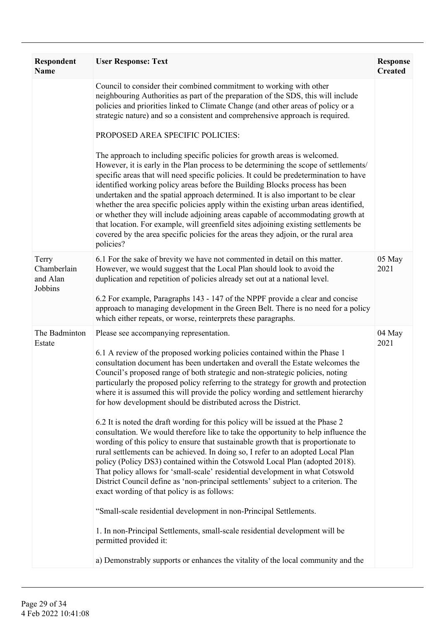| Respondent<br><b>Name</b>                   | <b>User Response: Text</b>                                                                                                                                                                                                                                                                                                                                                                                                                                                                                                                                                                                                                                                                                            | <b>Response</b><br><b>Created</b> |
|---------------------------------------------|-----------------------------------------------------------------------------------------------------------------------------------------------------------------------------------------------------------------------------------------------------------------------------------------------------------------------------------------------------------------------------------------------------------------------------------------------------------------------------------------------------------------------------------------------------------------------------------------------------------------------------------------------------------------------------------------------------------------------|-----------------------------------|
|                                             | Council to consider their combined commitment to working with other<br>neighbouring Authorities as part of the preparation of the SDS, this will include<br>policies and priorities linked to Climate Change (and other areas of policy or a<br>strategic nature) and so a consistent and comprehensive approach is required.<br>PROPOSED AREA SPECIFIC POLICIES:<br>The approach to including specific policies for growth areas is welcomed.                                                                                                                                                                                                                                                                        |                                   |
|                                             | However, it is early in the Plan process to be determining the scope of settlements/<br>specific areas that will need specific policies. It could be predetermination to have<br>identified working policy areas before the Building Blocks process has been<br>undertaken and the spatial approach determined. It is also important to be clear<br>whether the area specific policies apply within the existing urban areas identified,<br>or whether they will include adjoining areas capable of accommodating growth at<br>that location. For example, will greenfield sites adjoining existing settlements be<br>covered by the area specific policies for the areas they adjoin, or the rural area<br>policies? |                                   |
| Terry<br>Chamberlain<br>and Alan<br>Jobbins | 6.1 For the sake of brevity we have not commented in detail on this matter.<br>However, we would suggest that the Local Plan should look to avoid the<br>duplication and repetition of policies already set out at a national level.<br>6.2 For example, Paragraphs 143 - 147 of the NPPF provide a clear and concise<br>approach to managing development in the Green Belt. There is no need for a policy                                                                                                                                                                                                                                                                                                            | 05 May<br>2021                    |
| The Badminton                               | which either repeats, or worse, reinterprets these paragraphs.<br>Please see accompanying representation.                                                                                                                                                                                                                                                                                                                                                                                                                                                                                                                                                                                                             | 04 May                            |
| Estate                                      | 6.1 A review of the proposed working policies contained within the Phase 1<br>consultation document has been undertaken and overall the Estate welcomes the<br>Council's proposed range of both strategic and non-strategic policies, noting<br>particularly the proposed policy referring to the strategy for growth and protection<br>where it is assumed this will provide the policy wording and settlement hierarchy<br>for how development should be distributed across the District.                                                                                                                                                                                                                           | 2021                              |
|                                             | 6.2 It is noted the draft wording for this policy will be issued at the Phase 2<br>consultation. We would therefore like to take the opportunity to help influence the<br>wording of this policy to ensure that sustainable growth that is proportionate to<br>rural settlements can be achieved. In doing so, I refer to an adopted Local Plan<br>policy (Policy DS3) contained within the Cotswold Local Plan (adopted 2018).<br>That policy allows for 'small-scale' residential development in what Cotswold<br>District Council define as 'non-principal settlements' subject to a criterion. The<br>exact wording of that policy is as follows:                                                                 |                                   |
|                                             | "Small-scale residential development in non-Principal Settlements.                                                                                                                                                                                                                                                                                                                                                                                                                                                                                                                                                                                                                                                    |                                   |
|                                             | 1. In non-Principal Settlements, small-scale residential development will be<br>permitted provided it:                                                                                                                                                                                                                                                                                                                                                                                                                                                                                                                                                                                                                |                                   |
|                                             | a) Demonstrably supports or enhances the vitality of the local community and the                                                                                                                                                                                                                                                                                                                                                                                                                                                                                                                                                                                                                                      |                                   |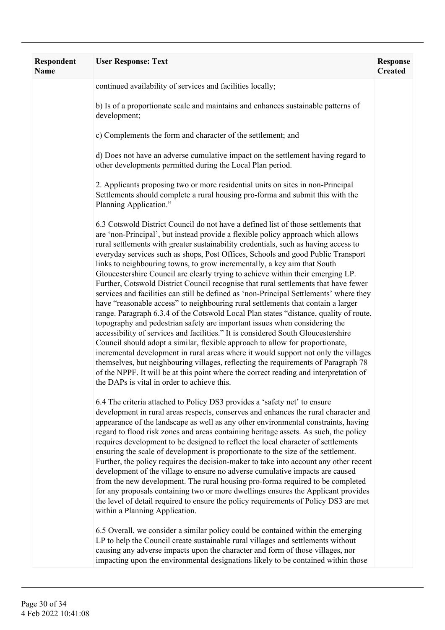| <b>Respondent</b><br><b>Name</b> | <b>User Response: Text</b>                                                                                                                                                                                                                                                                                                                                                                                                                                                                                                                                                                                                                                                                                                                                                                                                                                                                                                                                                                                                                                                                                                                                                                                                                                                                                                                                                                                                                              | <b>Response</b><br><b>Created</b> |
|----------------------------------|---------------------------------------------------------------------------------------------------------------------------------------------------------------------------------------------------------------------------------------------------------------------------------------------------------------------------------------------------------------------------------------------------------------------------------------------------------------------------------------------------------------------------------------------------------------------------------------------------------------------------------------------------------------------------------------------------------------------------------------------------------------------------------------------------------------------------------------------------------------------------------------------------------------------------------------------------------------------------------------------------------------------------------------------------------------------------------------------------------------------------------------------------------------------------------------------------------------------------------------------------------------------------------------------------------------------------------------------------------------------------------------------------------------------------------------------------------|-----------------------------------|
|                                  | continued availability of services and facilities locally;                                                                                                                                                                                                                                                                                                                                                                                                                                                                                                                                                                                                                                                                                                                                                                                                                                                                                                                                                                                                                                                                                                                                                                                                                                                                                                                                                                                              |                                   |
|                                  | b) Is of a proportionate scale and maintains and enhances sustainable patterns of<br>development;                                                                                                                                                                                                                                                                                                                                                                                                                                                                                                                                                                                                                                                                                                                                                                                                                                                                                                                                                                                                                                                                                                                                                                                                                                                                                                                                                       |                                   |
|                                  | c) Complements the form and character of the settlement; and                                                                                                                                                                                                                                                                                                                                                                                                                                                                                                                                                                                                                                                                                                                                                                                                                                                                                                                                                                                                                                                                                                                                                                                                                                                                                                                                                                                            |                                   |
|                                  | d) Does not have an adverse cumulative impact on the settlement having regard to<br>other developments permitted during the Local Plan period.                                                                                                                                                                                                                                                                                                                                                                                                                                                                                                                                                                                                                                                                                                                                                                                                                                                                                                                                                                                                                                                                                                                                                                                                                                                                                                          |                                   |
|                                  | 2. Applicants proposing two or more residential units on sites in non-Principal<br>Settlements should complete a rural housing pro-forma and submit this with the<br>Planning Application."                                                                                                                                                                                                                                                                                                                                                                                                                                                                                                                                                                                                                                                                                                                                                                                                                                                                                                                                                                                                                                                                                                                                                                                                                                                             |                                   |
|                                  | 6.3 Cotswold District Council do not have a defined list of those settlements that<br>are 'non-Principal', but instead provide a flexible policy approach which allows<br>rural settlements with greater sustainability credentials, such as having access to<br>everyday services such as shops, Post Offices, Schools and good Public Transport<br>links to neighbouring towns, to grow incrementally, a key aim that South<br>Gloucestershire Council are clearly trying to achieve within their emerging LP.<br>Further, Cotswold District Council recognise that rural settlements that have fewer<br>services and facilities can still be defined as 'non-Principal Settlements' where they<br>have "reasonable access" to neighbouring rural settlements that contain a larger<br>range. Paragraph 6.3.4 of the Cotswold Local Plan states "distance, quality of route,<br>topography and pedestrian safety are important issues when considering the<br>accessibility of services and facilities." It is considered South Gloucestershire<br>Council should adopt a similar, flexible approach to allow for proportionate,<br>incremental development in rural areas where it would support not only the villages<br>themselves, but neighbouring villages, reflecting the requirements of Paragraph 78<br>of the NPPF. It will be at this point where the correct reading and interpretation of<br>the DAPs is vital in order to achieve this. |                                   |
|                                  | 6.4 The criteria attached to Policy DS3 provides a 'safety net' to ensure<br>development in rural areas respects, conserves and enhances the rural character and<br>appearance of the landscape as well as any other environmental constraints, having<br>regard to flood risk zones and areas containing heritage assets. As such, the policy<br>requires development to be designed to reflect the local character of settlements<br>ensuring the scale of development is proportionate to the size of the settlement.<br>Further, the policy requires the decision-maker to take into account any other recent<br>development of the village to ensure no adverse cumulative impacts are caused<br>from the new development. The rural housing pro-forma required to be completed<br>for any proposals containing two or more dwellings ensures the Applicant provides<br>the level of detail required to ensure the policy requirements of Policy DS3 are met<br>within a Planning Application.                                                                                                                                                                                                                                                                                                                                                                                                                                                     |                                   |
|                                  | 6.5 Overall, we consider a similar policy could be contained within the emerging<br>LP to help the Council create sustainable rural villages and settlements without<br>causing any adverse impacts upon the character and form of those villages, nor<br>impacting upon the environmental designations likely to be contained within those                                                                                                                                                                                                                                                                                                                                                                                                                                                                                                                                                                                                                                                                                                                                                                                                                                                                                                                                                                                                                                                                                                             |                                   |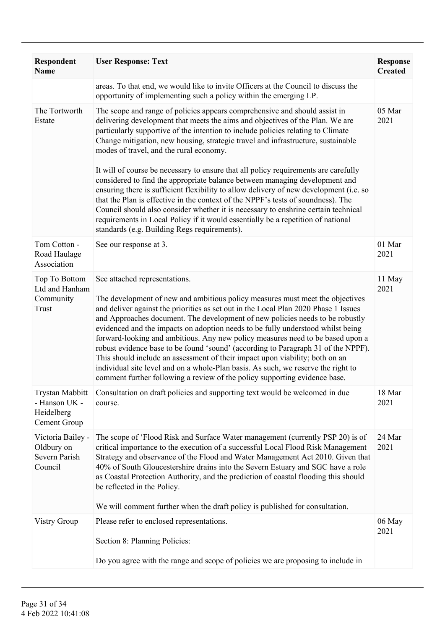| Respondent<br><b>Name</b>                                             | <b>User Response: Text</b>                                                                                                                                                                                                                                                                                                                                                                                                                                                                                                                                                                                                                                                                                                                                                                                                                                                                                                                                   | <b>Response</b><br><b>Created</b> |
|-----------------------------------------------------------------------|--------------------------------------------------------------------------------------------------------------------------------------------------------------------------------------------------------------------------------------------------------------------------------------------------------------------------------------------------------------------------------------------------------------------------------------------------------------------------------------------------------------------------------------------------------------------------------------------------------------------------------------------------------------------------------------------------------------------------------------------------------------------------------------------------------------------------------------------------------------------------------------------------------------------------------------------------------------|-----------------------------------|
|                                                                       | areas. To that end, we would like to invite Officers at the Council to discuss the<br>opportunity of implementing such a policy within the emerging LP.                                                                                                                                                                                                                                                                                                                                                                                                                                                                                                                                                                                                                                                                                                                                                                                                      |                                   |
| The Tortworth<br>Estate                                               | The scope and range of policies appears comprehensive and should assist in<br>delivering development that meets the aims and objectives of the Plan. We are<br>particularly supportive of the intention to include policies relating to Climate<br>Change mitigation, new housing, strategic travel and infrastructure, sustainable<br>modes of travel, and the rural economy.<br>It will of course be necessary to ensure that all policy requirements are carefully<br>considered to find the appropriate balance between managing development and<br>ensuring there is sufficient flexibility to allow delivery of new development (i.e. so<br>that the Plan is effective in the context of the NPPF's tests of soundness). The<br>Council should also consider whether it is necessary to enshrine certain technical<br>requirements in Local Policy if it would essentially be a repetition of national<br>standards (e.g. Building Regs requirements). | 05 Mar<br>2021                    |
| Tom Cotton -<br>Road Haulage<br>Association                           | See our response at 3.                                                                                                                                                                                                                                                                                                                                                                                                                                                                                                                                                                                                                                                                                                                                                                                                                                                                                                                                       | 01 Mar<br>2021                    |
| Top To Bottom<br>Ltd and Hanham<br>Community<br>Trust                 | See attached representations.<br>The development of new and ambitious policy measures must meet the objectives<br>and deliver against the priorities as set out in the Local Plan 2020 Phase 1 Issues<br>and Approaches document. The development of new policies needs to be robustly<br>evidenced and the impacts on adoption needs to be fully understood whilst being<br>forward-looking and ambitious. Any new policy measures need to be based upon a<br>robust evidence base to be found 'sound' (according to Paragraph 31 of the NPPF).<br>This should include an assessment of their impact upon viability; both on an<br>individual site level and on a whole-Plan basis. As such, we reserve the right to<br>comment further following a review of the policy supporting evidence base.                                                                                                                                                          | 11 May<br>2021                    |
| <b>Trystan Mabbitt</b><br>- Hanson UK -<br>Heidelberg<br>Cement Group | Consultation on draft policies and supporting text would be welcomed in due<br>course.                                                                                                                                                                                                                                                                                                                                                                                                                                                                                                                                                                                                                                                                                                                                                                                                                                                                       | 18 Mar<br>2021                    |
| Victoria Bailey -<br>Oldbury on<br>Severn Parish<br>Council           | The scope of 'Flood Risk and Surface Water management (currently PSP 20) is of<br>critical importance to the execution of a successful Local Flood Risk Management<br>Strategy and observance of the Flood and Water Management Act 2010. Given that<br>40% of South Gloucestershire drains into the Severn Estuary and SGC have a role<br>as Coastal Protection Authority, and the prediction of coastal flooding this should<br>be reflected in the Policy.<br>We will comment further when the draft policy is published for consultation.                                                                                                                                                                                                                                                                                                                                                                                                                | 24 Mar<br>2021                    |
| Vistry Group                                                          | Please refer to enclosed representations.<br>Section 8: Planning Policies:                                                                                                                                                                                                                                                                                                                                                                                                                                                                                                                                                                                                                                                                                                                                                                                                                                                                                   | 06 May<br>2021                    |
|                                                                       | Do you agree with the range and scope of policies we are proposing to include in                                                                                                                                                                                                                                                                                                                                                                                                                                                                                                                                                                                                                                                                                                                                                                                                                                                                             |                                   |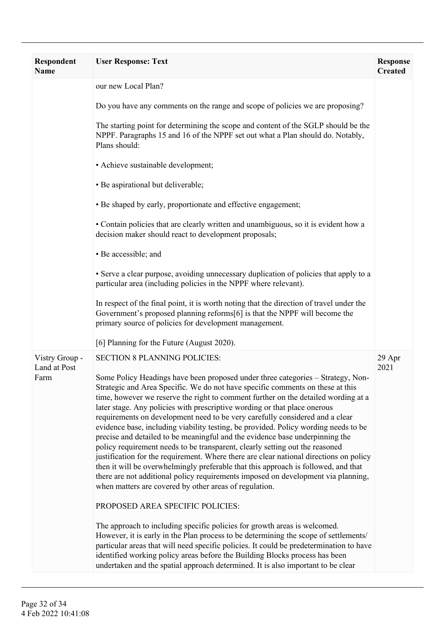| <b>Respondent</b><br><b>Name</b>       | <b>User Response: Text</b>                                                                                                                                                                                                                                                                                                                                                                                                                                                                                                                                                                                                                                                                                                                                                                                                                                                                                                                                                                                                                                                                                                                                                                                                                                 | <b>Response</b><br><b>Created</b> |
|----------------------------------------|------------------------------------------------------------------------------------------------------------------------------------------------------------------------------------------------------------------------------------------------------------------------------------------------------------------------------------------------------------------------------------------------------------------------------------------------------------------------------------------------------------------------------------------------------------------------------------------------------------------------------------------------------------------------------------------------------------------------------------------------------------------------------------------------------------------------------------------------------------------------------------------------------------------------------------------------------------------------------------------------------------------------------------------------------------------------------------------------------------------------------------------------------------------------------------------------------------------------------------------------------------|-----------------------------------|
|                                        | our new Local Plan?                                                                                                                                                                                                                                                                                                                                                                                                                                                                                                                                                                                                                                                                                                                                                                                                                                                                                                                                                                                                                                                                                                                                                                                                                                        |                                   |
|                                        | Do you have any comments on the range and scope of policies we are proposing?                                                                                                                                                                                                                                                                                                                                                                                                                                                                                                                                                                                                                                                                                                                                                                                                                                                                                                                                                                                                                                                                                                                                                                              |                                   |
|                                        | The starting point for determining the scope and content of the SGLP should be the<br>NPPF. Paragraphs 15 and 16 of the NPPF set out what a Plan should do. Notably,<br>Plans should:                                                                                                                                                                                                                                                                                                                                                                                                                                                                                                                                                                                                                                                                                                                                                                                                                                                                                                                                                                                                                                                                      |                                   |
|                                        | • Achieve sustainable development;                                                                                                                                                                                                                                                                                                                                                                                                                                                                                                                                                                                                                                                                                                                                                                                                                                                                                                                                                                                                                                                                                                                                                                                                                         |                                   |
|                                        | • Be aspirational but deliverable;                                                                                                                                                                                                                                                                                                                                                                                                                                                                                                                                                                                                                                                                                                                                                                                                                                                                                                                                                                                                                                                                                                                                                                                                                         |                                   |
|                                        | • Be shaped by early, proportionate and effective engagement;                                                                                                                                                                                                                                                                                                                                                                                                                                                                                                                                                                                                                                                                                                                                                                                                                                                                                                                                                                                                                                                                                                                                                                                              |                                   |
|                                        | • Contain policies that are clearly written and unambiguous, so it is evident how a<br>decision maker should react to development proposals;                                                                                                                                                                                                                                                                                                                                                                                                                                                                                                                                                                                                                                                                                                                                                                                                                                                                                                                                                                                                                                                                                                               |                                   |
|                                        | • Be accessible; and                                                                                                                                                                                                                                                                                                                                                                                                                                                                                                                                                                                                                                                                                                                                                                                                                                                                                                                                                                                                                                                                                                                                                                                                                                       |                                   |
|                                        | • Serve a clear purpose, avoiding unnecessary duplication of policies that apply to a<br>particular area (including policies in the NPPF where relevant).                                                                                                                                                                                                                                                                                                                                                                                                                                                                                                                                                                                                                                                                                                                                                                                                                                                                                                                                                                                                                                                                                                  |                                   |
|                                        | In respect of the final point, it is worth noting that the direction of travel under the<br>Government's proposed planning reforms[6] is that the NPPF will become the<br>primary source of policies for development management.                                                                                                                                                                                                                                                                                                                                                                                                                                                                                                                                                                                                                                                                                                                                                                                                                                                                                                                                                                                                                           |                                   |
|                                        | [6] Planning for the Future (August 2020).                                                                                                                                                                                                                                                                                                                                                                                                                                                                                                                                                                                                                                                                                                                                                                                                                                                                                                                                                                                                                                                                                                                                                                                                                 |                                   |
| Vistry Group -<br>Land at Post<br>Farm | <b>SECTION 8 PLANNING POLICIES:</b><br>Some Policy Headings have been proposed under three categories - Strategy, Non-<br>Strategic and Area Specific. We do not have specific comments on these at this<br>time, however we reserve the right to comment further on the detailed wording at a<br>later stage. Any policies with prescriptive wording or that place onerous<br>requirements on development need to be very carefully considered and a clear<br>evidence base, including viability testing, be provided. Policy wording needs to be<br>precise and detailed to be meaningful and the evidence base underpinning the<br>policy requirement needs to be transparent, clearly setting out the reasoned<br>justification for the requirement. Where there are clear national directions on policy<br>then it will be overwhelmingly preferable that this approach is followed, and that<br>there are not additional policy requirements imposed on development via planning,<br>when matters are covered by other areas of regulation.<br>PROPOSED AREA SPECIFIC POLICIES:<br>The approach to including specific policies for growth areas is welcomed.<br>However, it is early in the Plan process to be determining the scope of settlements/ | 29 Apr<br>2021                    |
|                                        | particular areas that will need specific policies. It could be predetermination to have<br>identified working policy areas before the Building Blocks process has been<br>undertaken and the spatial approach determined. It is also important to be clear                                                                                                                                                                                                                                                                                                                                                                                                                                                                                                                                                                                                                                                                                                                                                                                                                                                                                                                                                                                                 |                                   |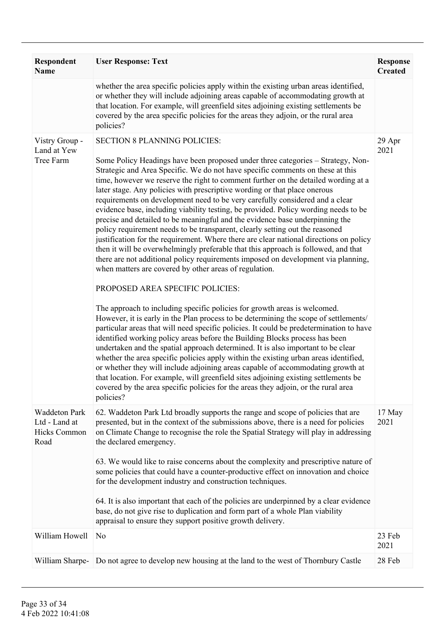| <b>Respondent</b><br><b>Name</b>                                     | <b>User Response: Text</b>                                                                                                                                                                                                                                                                                                                                                                                                                                                                                                                                                                                                                                                                                                                                                                                                                                                                                                                                                                                                                                                                                                                                                                                                                                                                                                                                                                                                                                                                                                                                                                                                                                                                                                                                                                                                                                                                    | <b>Response</b><br><b>Created</b> |
|----------------------------------------------------------------------|-----------------------------------------------------------------------------------------------------------------------------------------------------------------------------------------------------------------------------------------------------------------------------------------------------------------------------------------------------------------------------------------------------------------------------------------------------------------------------------------------------------------------------------------------------------------------------------------------------------------------------------------------------------------------------------------------------------------------------------------------------------------------------------------------------------------------------------------------------------------------------------------------------------------------------------------------------------------------------------------------------------------------------------------------------------------------------------------------------------------------------------------------------------------------------------------------------------------------------------------------------------------------------------------------------------------------------------------------------------------------------------------------------------------------------------------------------------------------------------------------------------------------------------------------------------------------------------------------------------------------------------------------------------------------------------------------------------------------------------------------------------------------------------------------------------------------------------------------------------------------------------------------|-----------------------------------|
|                                                                      | whether the area specific policies apply within the existing urban areas identified,<br>or whether they will include adjoining areas capable of accommodating growth at<br>that location. For example, will greenfield sites adjoining existing settlements be<br>covered by the area specific policies for the areas they adjoin, or the rural area<br>policies?                                                                                                                                                                                                                                                                                                                                                                                                                                                                                                                                                                                                                                                                                                                                                                                                                                                                                                                                                                                                                                                                                                                                                                                                                                                                                                                                                                                                                                                                                                                             |                                   |
| Vistry Group -<br>Land at Yew<br>Tree Farm                           | <b>SECTION 8 PLANNING POLICIES:</b><br>Some Policy Headings have been proposed under three categories - Strategy, Non-<br>Strategic and Area Specific. We do not have specific comments on these at this<br>time, however we reserve the right to comment further on the detailed wording at a<br>later stage. Any policies with prescriptive wording or that place onerous<br>requirements on development need to be very carefully considered and a clear<br>evidence base, including viability testing, be provided. Policy wording needs to be<br>precise and detailed to be meaningful and the evidence base underpinning the<br>policy requirement needs to be transparent, clearly setting out the reasoned<br>justification for the requirement. Where there are clear national directions on policy<br>then it will be overwhelmingly preferable that this approach is followed, and that<br>there are not additional policy requirements imposed on development via planning,<br>when matters are covered by other areas of regulation.<br>PROPOSED AREA SPECIFIC POLICIES:<br>The approach to including specific policies for growth areas is welcomed.<br>However, it is early in the Plan process to be determining the scope of settlements/<br>particular areas that will need specific policies. It could be predetermination to have<br>identified working policy areas before the Building Blocks process has been<br>undertaken and the spatial approach determined. It is also important to be clear<br>whether the area specific policies apply within the existing urban areas identified,<br>or whether they will include adjoining areas capable of accommodating growth at<br>that location. For example, will greenfield sites adjoining existing settlements be<br>covered by the area specific policies for the areas they adjoin, or the rural area<br>policies? | 29 Apr<br>2021                    |
| <b>Waddeton Park</b><br>Ltd - Land at<br><b>Hicks Common</b><br>Road | 62. Waddeton Park Ltd broadly supports the range and scope of policies that are<br>presented, but in the context of the submissions above, there is a need for policies<br>on Climate Change to recognise the role the Spatial Strategy will play in addressing<br>the declared emergency.<br>63. We would like to raise concerns about the complexity and prescriptive nature of<br>some policies that could have a counter-productive effect on innovation and choice<br>for the development industry and construction techniques.<br>64. It is also important that each of the policies are underpinned by a clear evidence<br>base, do not give rise to duplication and form part of a whole Plan viability<br>appraisal to ensure they support positive growth delivery.                                                                                                                                                                                                                                                                                                                                                                                                                                                                                                                                                                                                                                                                                                                                                                                                                                                                                                                                                                                                                                                                                                                 | 17 May<br>2021                    |
| William Howell                                                       | N <sub>0</sub>                                                                                                                                                                                                                                                                                                                                                                                                                                                                                                                                                                                                                                                                                                                                                                                                                                                                                                                                                                                                                                                                                                                                                                                                                                                                                                                                                                                                                                                                                                                                                                                                                                                                                                                                                                                                                                                                                | 23 Feb<br>2021                    |
| William Sharpe-                                                      | Do not agree to develop new housing at the land to the west of Thornbury Castle                                                                                                                                                                                                                                                                                                                                                                                                                                                                                                                                                                                                                                                                                                                                                                                                                                                                                                                                                                                                                                                                                                                                                                                                                                                                                                                                                                                                                                                                                                                                                                                                                                                                                                                                                                                                               | 28 Feb                            |